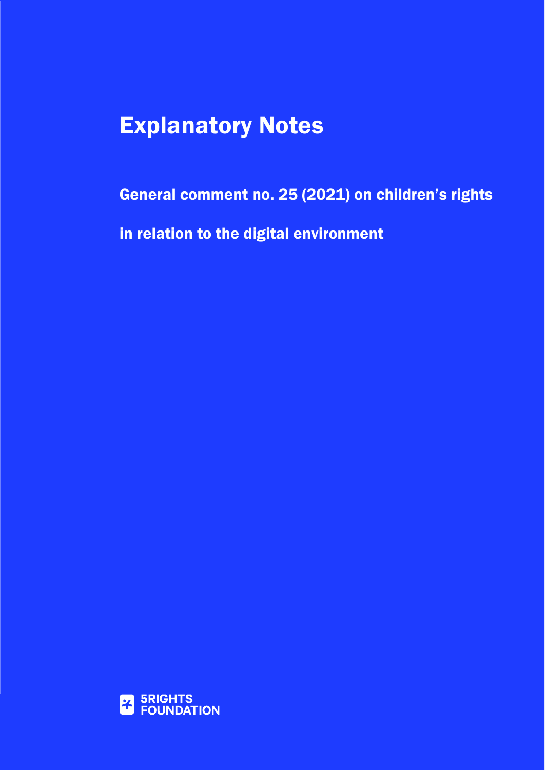# Explanatory Notes

General comment no. 25 (2021) on children's rights

in relation to the digital environment

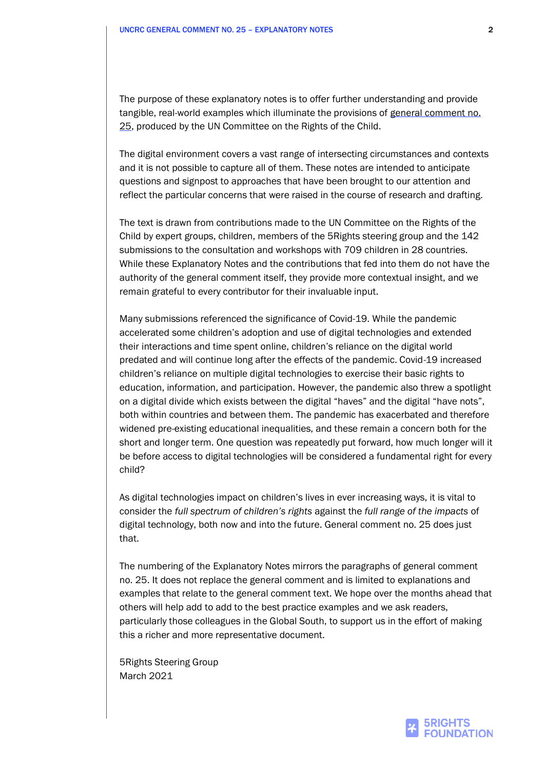The purpose of these explanatory notes is to offer further understanding and provide tangible, real-world examples which illuminate the provisions of [general comment](https://tbinternet.ohchr.org/_layouts/15/treatybodyexternal/Download.aspx?symbolno=CRC%2fC%2fGC%2f25&Lang=en) no. [25,](https://tbinternet.ohchr.org/_layouts/15/treatybodyexternal/Download.aspx?symbolno=CRC%2fC%2fGC%2f25&Lang=en) produced by the UN Committee on the Rights of the Child.

The digital environment covers a vast range of intersecting circumstances and contexts and it is not possible to capture all of them. These notes are intended to anticipate questions and signpost to approaches that have been brought to our attention and reflect the particular concerns that were raised in the course of research and drafting.

The text is drawn from contributions made to the UN Committee on the Rights of the Child by expert groups, children, members of the 5Rights steering group and the 142 submissions to the consultation and workshops with 709 children in 28 countries. While these Explanatory Notes and the contributions that fed into them do not have the authority of the general comment itself, they provide more contextual insight, and we remain grateful to every contributor for their invaluable input.

Many submissions referenced the significance of Covid-19. While the pandemic accelerated some children's adoption and use of digital technologies and extended their interactions and time spent online, children's reliance on the digital world predated and will continue long after the effects of the pandemic. Covid-19 increased children's reliance on multiple digital technologies to exercise their basic rights to education, information, and participation. However, the pandemic also threw a spotlight on a digital divide which exists between the digital "haves" and the digital "have nots", both within countries and between them. The pandemic has exacerbated and therefore widened pre-existing educational inequalities, and these remain a concern both for the short and longer term. One question was repeatedly put forward, how much longer will it be before access to digital technologies will be considered a fundamental right for every child?

As digital technologies impact on children's lives in ever increasing ways, it is vital to consider the *full spectrum of children's rights* against the *full range of the impacts* of digital technology, both now and into the future. General comment no. 25 does just that.

The numbering of the Explanatory Notes mirrors the paragraphs of general comment no. 25. It does not replace the general comment and is limited to explanations and examples that relate to the general comment text. We hope over the months ahead that others will help add to add to the best practice examples and we ask readers, particularly those colleagues in the Global South, to support us in the effort of making this a richer and more representative document.

5Rights Steering Group March 2021

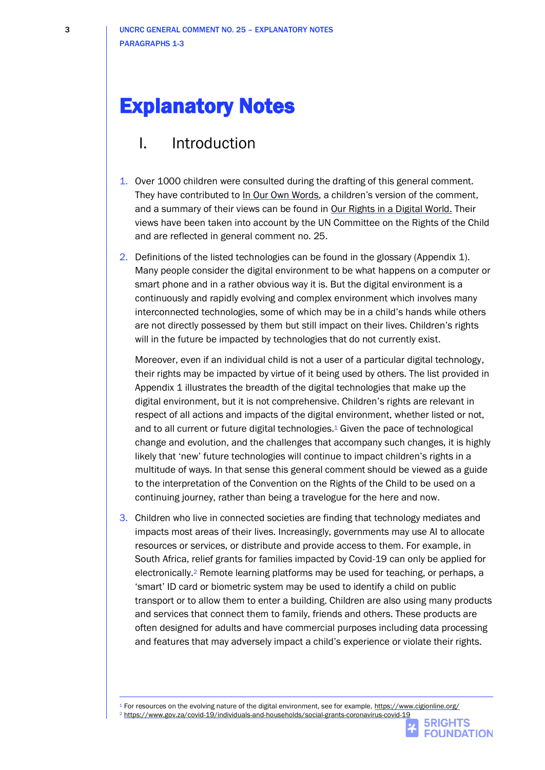# Explanatory Notes

## I. Introduction

- 1. Over 1000 children were consulted during the drafting of this general comment. They have contributed t[o In Our Own Words,](https://5rightsfoundation.com/In_Our_Own_Words_Young_Peoples_Version_Online.pdf) a children's version of the comment, and a summary of their views can be found in [Our Rights in a Digital World.](https://5rightsfoundation.com/uploads/Our%20Rights%20in%20a%20Digital%20World.pdf) Their views have been taken into account by the UN Committee on the Rights of the Child and are reflected in general comment no. 25.
- 2. Definitions of the listed technologies can be found in the glossary (Appendix 1). Many people consider the digital environment to be what happens on a computer or smart phone and in a rather obvious way it is. But the digital environment is a continuously and rapidly evolving and complex environment which involves many interconnected technologies, some of which may be in a child's hands while others are not directly possessed by them but still impact on their lives. Children's rights will in the future be impacted by technologies that do not currently exist.

Moreover, even if an individual child is not a user of a particular digital technology, their rights may be impacted by virtue of it being used by others. The list provided in Appendix 1 illustrates the breadth of the digital technologies that make up the digital environment, but it is not comprehensive. Children's rights are relevant in respect of all actions and impacts of the digital environment, whether listed or not, and to all current or future digital technologies.<sup>1</sup> Given the pace of technological change and evolution, and the challenges that accompany such changes, it is highly likely that 'new' future technologies will continue to impact children's rights in a multitude of ways. In that sense this general comment should be viewed as a guide to the interpretation of the Convention on the Rights of the Child to be used on a continuing journey, rather than being a travelogue for the here and now.

3. Children who live in connected societies are finding that technology mediates and impacts most areas of their lives. Increasingly, governments may use AI to allocate resources or services, or distribute and provide access to them. For example, in South Africa, relief grants for families impacted by Covid-19 can only be applied for electronically.<sup>2</sup> Remote learning platforms may be used for teaching, or perhaps, a 'smart' ID card or biometric system may be used to identify a child on public transport or to allow them to enter a building. Children are also using many products and services that connect them to family, friends and others. These products are often designed for adults and have commercial purposes including data processing and features that may adversely impact a child's experience or violate their rights.

<sup>1</sup> For resources on the evolving nature of the digital environment, see for example,<https://www.cigionline.org/>

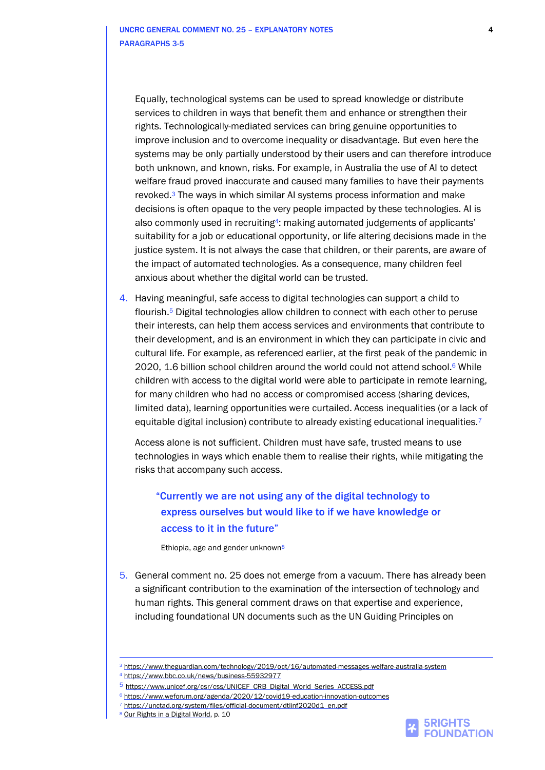Equally, technological systems can be used to spread knowledge or distribute services to children in ways that benefit them and enhance or strengthen their rights. Technologically-mediated services can bring genuine opportunities to improve inclusion and to overcome inequality or disadvantage. But even here the systems may be only partially understood by their users and can therefore introduce both unknown, and known, risks. For example, in Australia the use of AI to detect welfare fraud proved inaccurate and caused many families to have their payments revoked.<sup>3</sup> The ways in which similar AI systems process information and make decisions is often opaque to the very people impacted by these technologies. AI is also commonly used in recruiting4: making automated judgements of applicants' suitability for a job or educational opportunity, or life altering decisions made in the justice system. It is not always the case that children, or their parents, are aware of the impact of automated technologies. As a consequence, many children feel anxious about whether the digital world can be trusted.

4. Having meaningful, safe access to digital technologies can support a child to flourish.<sup>5</sup> Digital technologies allow children to connect with each other to peruse their interests, can help them access services and environments that contribute to their development, and is an environment in which they can participate in civic and cultural life. For example, as referenced earlier, at the first peak of the pandemic in 2020, 1.6 billion school children around the world could not attend school.<sup>6</sup> While children with access to the digital world were able to participate in remote learning, for many children who had no access or compromised access (sharing devices, limited data), learning opportunities were curtailed. Access inequalities (or a lack of equitable digital inclusion) contribute to already existing educational inequalities.<sup>7</sup>

Access alone is not sufficient. Children must have safe, trusted means to use technologies in ways which enable them to realise their rights, while mitigating the risks that accompany such access.

## "Currently we are not using any of the digital technology to express ourselves but would like to if we have knowledge or access to it in the future"

Ethiopia, age and gender unknown<sup>8</sup>

5. General comment no. 25 does not emerge from a vacuum. There has already been a significant contribution to the examination of the intersection of technology and human rights. This general comment draws on that expertise and experience, including foundational UN documents such as the UN Guiding Principles on



<sup>3</sup> <https://www.theguardian.com/technology/2019/oct/16/automated-messages-welfare-australia-system>

<sup>4</sup> <https://www.bbc.co.uk/news/business-55932977>

<sup>5</sup> [https://www.unicef.org/csr/css/UNICEF\\_CRB\\_Digital\\_World\\_Series\\_ACCESS.pdf](https://www.unicef.org/csr/css/UNICEF_CRB_Digital_World_Series_ACCESS.pdf)

<sup>6</sup> [https://www.weforum.org/agenda/2020/12/covid19-education-innovation-outcomes](https://www.weforum.org/agenda/2020/12/covid19-education-innovation-outcomes/)

<sup>7</sup> [https://unctad.org/system/files/official-document/dtlinf2020d1\\_en.pdf](https://unctad.org/system/files/official-document/dtlinf2020d1_en.pdf)

<sup>8</sup> [Our Rights in a Digital World,](https://5rightsfoundation.com/uploads/Our%20Rights%20in%20a%20Digital%20World.pdf) p. 10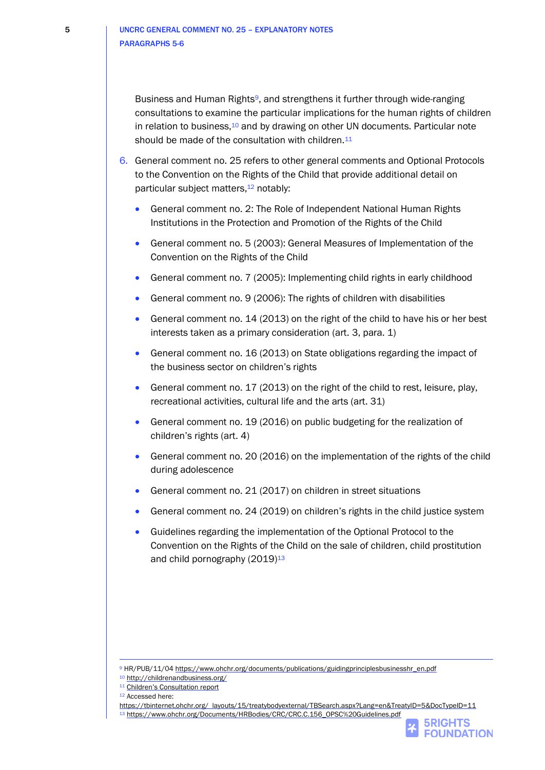Business and Human Rights<sup>9</sup>, and strengthens it further through wide-ranging consultations to examine the particular implications for the human rights of children in relation to business,<sup>10</sup> and by drawing on other UN documents. Particular note should be made of the consultation with children.<sup>11</sup>

- 6. General comment no. 25 refers to other general comments and Optional Protocols to the Convention on the Rights of the Child that provide additional detail on particular subject matters,<sup>12</sup> notably:
	- General comment no. 2: The Role of Independent National Human Rights Institutions in the Protection and Promotion of the Rights of the Child
	- General comment no. 5 (2003): General Measures of Implementation of the Convention on the Rights of the Child
	- General comment no. 7 (2005): Implementing child rights in early childhood
	- General comment no. 9 (2006): The rights of children with disabilities
	- General comment no. 14 (2013) on the right of the child to have his or her best interests taken as a primary consideration (art. 3, para. 1)
	- General comment no. 16 (2013) on State obligations regarding the impact of the business sector on children's rights
	- General comment no. 17 (2013) on the right of the child to rest, leisure, play, recreational activities, cultural life and the arts (art. 31)
	- General comment no. 19 (2016) on public budgeting for the realization of children's rights (art. 4)
	- General comment no. 20 (2016) on the implementation of the rights of the child during adolescence
	- General comment no. 21 (2017) on children in street situations
	- General comment no. 24 (2019) on children's rights in the child justice system
	- Guidelines regarding the implementation of the Optional Protocol to the Convention on the Rights of the Child on the sale of children, child prostitution and child pornography  $(2019)^{13}$

[https://tbinternet.ohchr.org/\\_layouts/15/treatybodyexternal/TBSearch.aspx?Lang=en&TreatyID=5&DocTypeID=11](https://tbinternet.ohchr.org/_layouts/15/treatybodyexternal/TBSearch.aspx?Lang=en&TreatyID=5&DocTypeID=11) 13 [https://www.ohchr.org/Documents/HRBodies/CRC/CRC.C.156\\_OPSC%20Guidelines.pdf](https://www.ohchr.org/Documents/HRBodies/CRC/CRC.C.156_OPSC%20Guidelines.pdf)

**5RIGHTS FOUNDATION** 

<sup>9</sup> HR/PUB/11/0[4 https://www.ohchr.org/documents/publications/guidingprinciplesbusinesshr\\_en.pdf](https://www.ohchr.org/documents/publications/guidingprinciplesbusinesshr_en.pdf)

<sup>10</sup> <http://childrenandbusiness.org/>

<sup>11</sup> [Children's Consultation report](https://5rightsfoundation.com/uploads/Our%20Rights%20in%20a%20Digital%20World.pdf)

<sup>12</sup> Accessed here: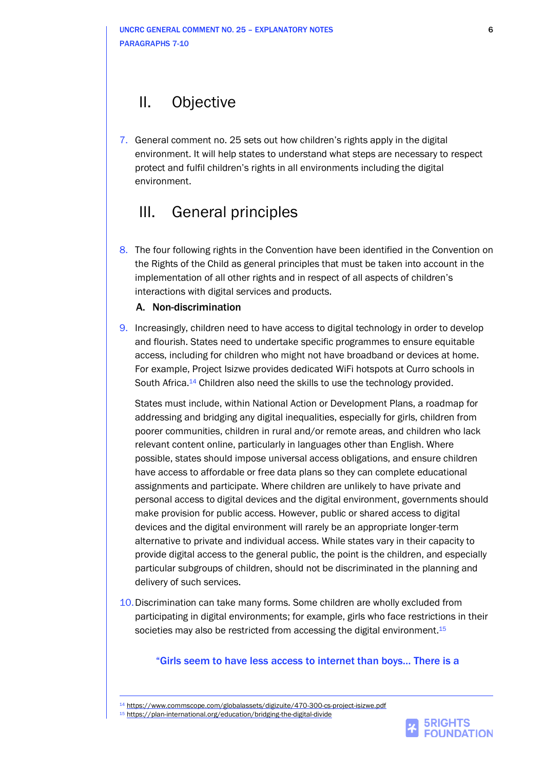## II. Objective

7. General comment no. 25 sets out how children's rights apply in the digital environment. It will help states to understand what steps are necessary to respect protect and fulfil children's rights in all environments including the digital environment.

## III. General principles

8. The four following rights in the Convention have been identified in the Convention on the Rights of the Child as general principles that must be taken into account in the implementation of all other rights and in respect of all aspects of children's interactions with digital services and products.

### A. Non-discrimination

9. Increasingly, children need to have access to digital technology in order to develop and flourish. States need to undertake specific programmes to ensure equitable access, including for children who might not have broadband or devices at home. For example, Project Isizwe provides dedicated WiFi hotspots at Curro schools in South Africa.<sup>14</sup> Children also need the skills to use the technology provided.

States must include, within National Action or Development Plans, a roadmap for addressing and bridging any digital inequalities, especially for girls, children from poorer communities, children in rural and/or remote areas, and children who lack relevant content online, particularly in languages other than English. Where possible, states should impose universal access obligations, and ensure children have access to affordable or free data plans so they can complete educational assignments and participate. Where children are unlikely to have private and personal access to digital devices and the digital environment, governments should make provision for public access. However, public or shared access to digital devices and the digital environment will rarely be an appropriate longer-term alternative to private and individual access. While states vary in their capacity to provide digital access to the general public, the point is the children, and especially particular subgroups of children, should not be discriminated in the planning and delivery of such services.

10.Discrimination can take many forms. Some children are wholly excluded from participating in digital environments; for example, girls who face restrictions in their societies may also be restricted from accessing the digital environment.<sup>15</sup>

### "Girls seem to have less access to internet than boys… There is a

<sup>14</sup> <https://www.commscope.com/globalassets/digizuite/470-300-cs-project-isizwe.pdf>

<sup>15</sup> <https://plan-international.org/education/bridging-the-digital-divide>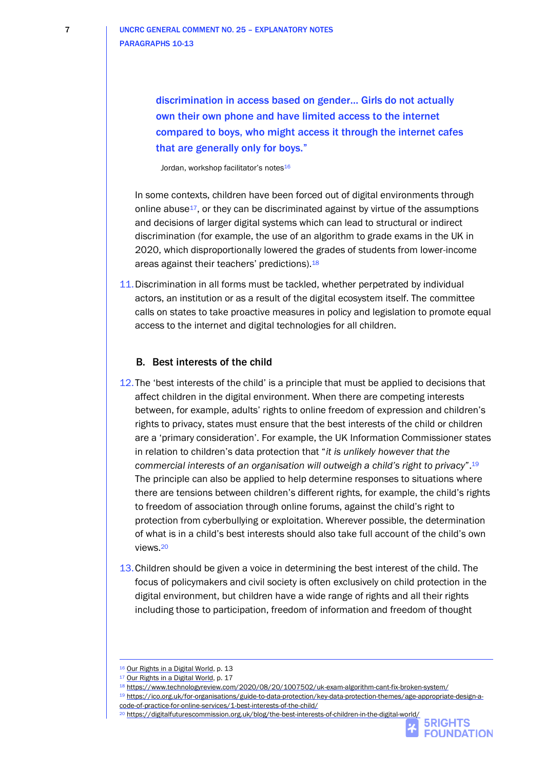discrimination in access based on gender… Girls do not actually own their own phone and have limited access to the internet compared to boys, who might access it through the internet cafes that are generally only for boys."

Jordan, workshop facilitator's notes<sup>16</sup>

In some contexts, children have been forced out of digital environments through online abuse17, or they can be discriminated against by virtue of the assumptions and decisions of larger digital systems which can lead to structural or indirect discrimination (for example, the use of an algorithm to grade exams in the UK in 2020, which disproportionally lowered the grades of students from lower-income areas against their teachers' predictions).<sup>18</sup>

11.Discrimination in all forms must be tackled, whether perpetrated by individual actors, an institution or as a result of the digital ecosystem itself. The committee calls on states to take proactive measures in policy and legislation to promote equal access to the internet and digital technologies for all children.

#### B. Best interests of the child

- 12.The 'best interests of the child' is a principle that must be applied to decisions that affect children in the digital environment. When there are competing interests between, for example, adults' rights to online freedom of expression and children's rights to privacy, states must ensure that the best interests of the child or children are a 'primary consideration'. For example, the UK Information Commissioner states in relation to children's data protection that "*it is unlikely however that the commercial interests of an organisation will outweigh a child's right to privacy*". 19 The principle can also be applied to help determine responses to situations where there are tensions between children's different rights, for example, the child's rights to freedom of association through online forums, against the child's right to protection from cyberbullying or exploitation. Wherever possible, the determination of what is in a child's best interests should also take full account of the child's own views.<sup>20</sup>
- 13.Children should be given a voice in determining the best interest of the child. The focus of policymakers and civil society is often exclusively on child protection in the digital environment, but children have a wide range of rights and all their rights including those to participation, freedom of information and freedom of thought

<sup>18</sup> <https://www.technologyreview.com/2020/08/20/1007502/uk-exam-algorithm-cant-fix-broken-system/>

<sup>20</sup> <https://digitalfuturescommission.org.uk/blog/the-best-interests-of-children-in-the-digital-world/>

<sup>&</sup>lt;sup>16</sup> [Our Rights in a Digital World,](https://5rightsfoundation.com/uploads/Our%20Rights%20in%20a%20Digital%20World.pdf) p. 13

<sup>17</sup> [Our Rights in a Digital](https://5rightsfoundation.com/uploads/Our%20Rights%20in%20a%20Digital%20World.pdf) World, p. 17

<sup>19</sup> [https://ico.org.uk/for-organisations/guide-to-data-protection/key-data-protection-themes/age-appropriate-design-a](https://ico.org.uk/for-organisations/guide-to-data-protection/key-data-protection-themes/age-appropriate-design-a-code-of-practice-for-online-services/1-best-interests-of-the-child/)[code-of-practice-for-online-services/1-best-interests-of-the-child/](https://ico.org.uk/for-organisations/guide-to-data-protection/key-data-protection-themes/age-appropriate-design-a-code-of-practice-for-online-services/1-best-interests-of-the-child/)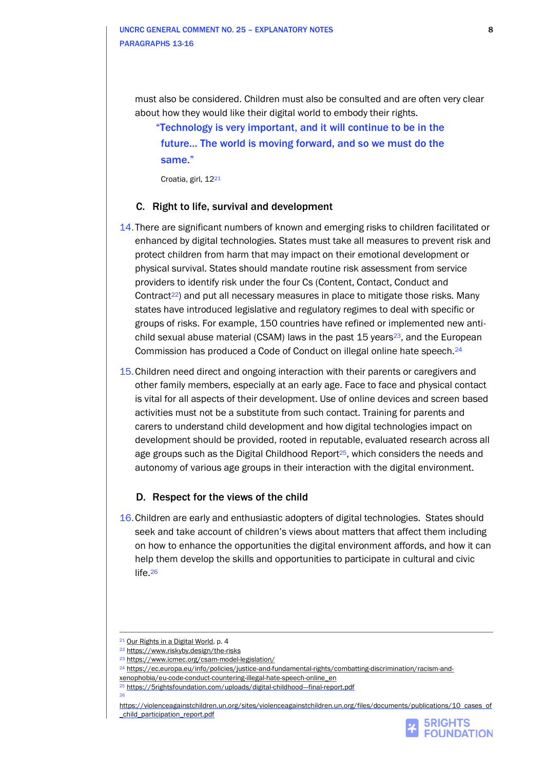must also be considered. Children must also be consulted and are often very clear about how they would like their digital world to embody their rights.

"Technology is very important, and it will continue to be in the future… The world is moving forward, and so we must do the same."

Croatia, girl, 12<sup>21</sup>

#### C. Right to life, survival and development

- 14.There are significant numbers of known and emerging risks to children facilitated or enhanced by digital technologies. States must take all measures to prevent risk and protect children from harm that may impact on their emotional development or physical survival. States should mandate routine risk assessment from service providers to identify risk under the four Cs (Content, Contact, Conduct and Contract<sup>22</sup>) and put all necessary measures in place to mitigate those risks. Many states have introduced legislative and regulatory regimes to deal with specific or groups of risks. For example, 150 countries have refined or implemented new antichild sexual abuse material (CSAM) laws in the past  $15$  years<sup>23</sup>, and the European Commission has produced a Code of Conduct on illegal online hate speech.<sup>24</sup>
- 15.Children need direct and ongoing interaction with their parents or caregivers and other family members, especially at an early age. Face to face and physical contact is vital for all aspects of their development. Use of online devices and screen based activities must not be a substitute from such contact. Training for parents and carers to understand child development and how digital technologies impact on development should be provided, rooted in reputable, evaluated research across all age groups such as the Digital Childhood Report<sup>25</sup>, which considers the needs and autonomy of various age groups in their interaction with the digital environment.

#### D. Respect for the views of the child

16.Children are early and enthusiastic adopters of digital technologies. States should seek and take account of children's views about matters that affect them including on how to enhance the opportunities the digital environment affords, and how it can help them develop the skills and opportunities to participate in cultural and civic life. 26



<sup>&</sup>lt;sup>21</sup> [Our Rights in a Digital World,](https://5rightsfoundation.com/uploads/Our%20Rights%20in%20a%20Digital%20World.pdf) p. 4

<sup>22</sup> <https://www.riskyby.design/the-risks>

<sup>23</sup> <https://www.icmec.org/csam-model-legislation/>

<sup>&</sup>lt;sup>24</sup> [https://ec.europa.eu/info/policies/justice-and-fundamental-rights/combatting-discrimination/racism-and-](https://ec.europa.eu/info/policies/justice-and-fundamental-rights/combatting-discrimination/racism-and-xenophobia/eu-code-conduct-countering-illegal-hate-speech-online_en)

[xenophobia/eu-code-conduct-countering-illegal-hate-speech-online\\_en](https://ec.europa.eu/info/policies/justice-and-fundamental-rights/combatting-discrimination/racism-and-xenophobia/eu-code-conduct-countering-illegal-hate-speech-online_en)

<sup>&</sup>lt;sup>25</sup> <https://5rightsfoundation.com/uploads/digital-childhood---final-report.pdf> 26

[https://violenceagainstchildren.un.org/sites/violenceagainstchildren.un.org/files/documents/publications/10\\_cases\\_of](https://violenceagainstchildren.un.org/sites/violenceagainstchildren.un.org/files/documents/publications/10_cases_of_child_participation_report.pdf) [\\_child\\_participation\\_report.pdf](https://violenceagainstchildren.un.org/sites/violenceagainstchildren.un.org/files/documents/publications/10_cases_of_child_participation_report.pdf)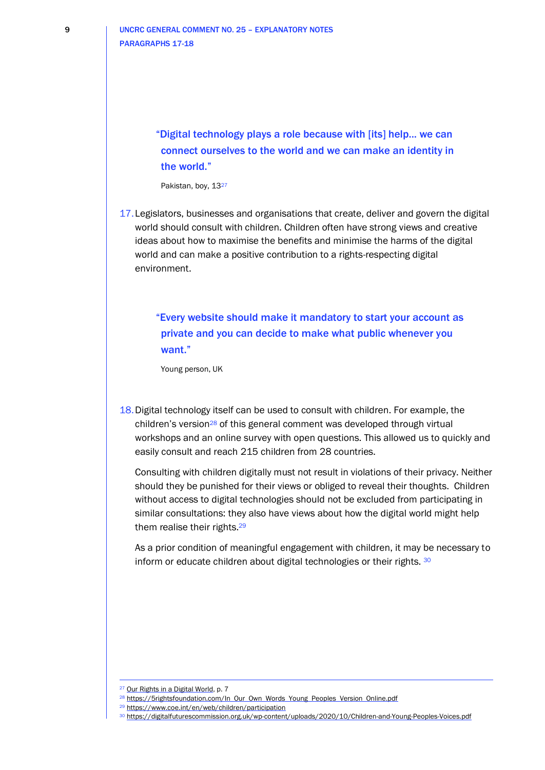"Digital technology plays a role because with [its] help... we can connect ourselves to the world and we can make an identity in the world."

Pakistan, boy, 1327

17.Legislators, businesses and organisations that create, deliver and govern the digital world should consult with children. Children often have strong views and creative ideas about how to maximise the benefits and minimise the harms of the digital world and can make a positive contribution to a rights-respecting digital environment.

"Every website should make it mandatory to start your account as private and you can decide to make what public whenever you want."

Young person, UK

18.Digital technology itself can be used to consult with children. For example, the children's version<sup>28</sup> of this general comment was developed through virtual workshops and an online survey with open questions. This allowed us to quickly and easily consult and reach 215 children from 28 countries.

Consulting with children digitally must not result in violations of their privacy. Neither should they be punished for their views or obliged to reveal their thoughts. Children without access to digital technologies should not be excluded from participating in similar consultations: they also have views about how the digital world might help them realise their rights.<sup>29</sup>

As a prior condition of meaningful engagement with children, it may be necessary to inform or educate children about digital technologies or their rights. 30

<sup>&</sup>lt;sup>27</sup> [Our Rights in a Digital World,](https://5rightsfoundation.com/uploads/Our%20Rights%20in%20a%20Digital%20World.pdf) p. 7

<sup>&</sup>lt;sup>28</sup> [https://5rightsfoundation.com/In\\_Our\\_Own\\_Words\\_Young\\_Peoples\\_Version\\_Online.pdf](https://5rightsfoundation.com/In_Our_Own_Words_Young_Peoples_Version_Online.pdf)

<sup>29</sup> <https://www.coe.int/en/web/children/participation>

<sup>30</sup> <https://digitalfuturescommission.org.uk/wp-content/uploads/2020/10/Children-and-Young-Peoples-Voices.pdf>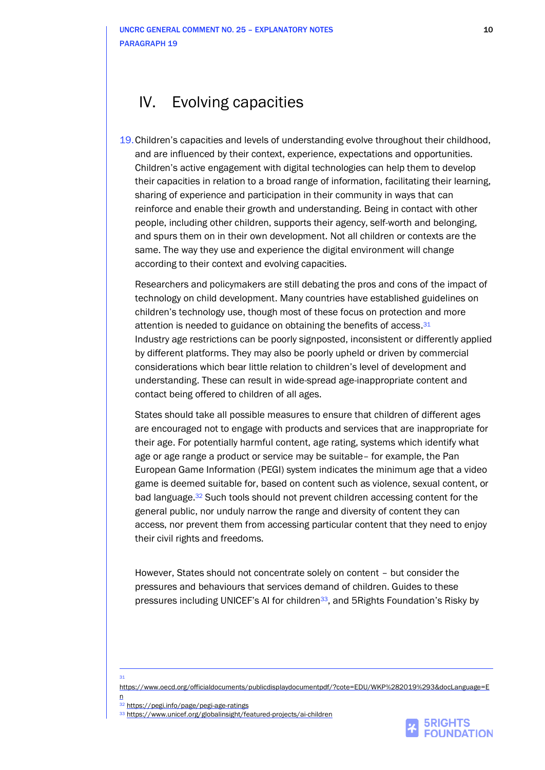## IV. Evolving capacities

19.Children's capacities and levels of understanding evolve throughout their childhood, and are influenced by their context, experience, expectations and opportunities. Children's active engagement with digital technologies can help them to develop their capacities in relation to a broad range of information, facilitating their learning, sharing of experience and participation in their community in ways that can reinforce and enable their growth and understanding. Being in contact with other people, including other children, supports their agency, self-worth and belonging, and spurs them on in their own development. Not all children or contexts are the same. The way they use and experience the digital environment will change according to their context and evolving capacities.

Researchers and policymakers are still debating the pros and cons of the impact of technology on child development. Many countries have established guidelines on children's technology use, though most of these focus on protection and more attention is needed to guidance on obtaining the benefits of access.<sup>31</sup> Industry age restrictions can be poorly signposted, inconsistent or differently applied by different platforms. They may also be poorly upheld or driven by commercial considerations which bear little relation to children's level of development and understanding. These can result in wide-spread age-inappropriate content and contact being offered to children of all ages.

States should take all possible measures to ensure that children of different ages are encouraged not to engage with products and services that are inappropriate for their age. For potentially harmful content, age rating, systems which identify what age or age range a product or service may be suitable– for example, the Pan European Game Information (PEGI) system indicates the minimum age that a video game is deemed suitable for, based on content such as violence, sexual content, or bad language.<sup>32</sup> Such tools should not prevent children accessing content for the general public, nor unduly narrow the range and diversity of content they can access, nor prevent them from accessing particular content that they need to enjoy their civil rights and freedoms.

However, States should not concentrate solely on content – but consider the pressures and behaviours that services demand of children. Guides to these pressures including UNICEF's AI for children33, and 5Rights Foundation's Risky by

[https://www.oecd.org/officialdocuments/publicdisplaydocumentpdf/?cote=EDU/WKP%282019%293&docLanguage=E](https://www.oecd.org/officialdocuments/publicdisplaydocumentpdf/?cote=EDU/WKP%282019%293&docLanguage=En) [n](https://www.oecd.org/officialdocuments/publicdisplaydocumentpdf/?cote=EDU/WKP%282019%293&docLanguage=En)

31



<sup>32</sup> <https://pegi.info/page/pegi-age-ratings>

<sup>33</sup> <https://www.unicef.org/globalinsight/featured-projects/ai-children>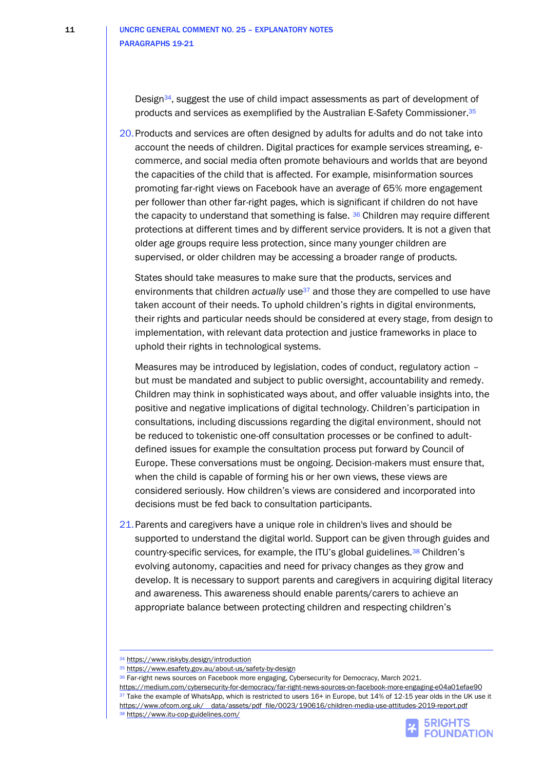Design34, suggest the use of child impact assessments as part of development of products and services as exemplified by the Australian E-Safety Commissioner.<sup>35</sup>

20.Products and services are often designed by adults for adults and do not take into account the needs of children. Digital practices for example services streaming, ecommerce, and social media often promote behaviours and worlds that are beyond the capacities of the child that is affected. For example, misinformation sources promoting far-right views on Facebook have an average of 65% more engagement per follower than other far-right pages, which is significant if children do not have the capacity to understand that something is false.  $36$  Children may require different protections at different times and by different service providers. It is not a given that older age groups require less protection, since many younger children are supervised, or older children may be accessing a broader range of products.

States should take measures to make sure that the products, services and environments that children *actually* use<sup>37</sup> and those they are compelled to use have taken account of their needs. To uphold children's rights in digital environments, their rights and particular needs should be considered at every stage, from design to implementation, with relevant data protection and justice frameworks in place to uphold their rights in technological systems.

Measures may be introduced by legislation, codes of conduct, regulatory action – but must be mandated and subject to public oversight, accountability and remedy. Children may think in sophisticated ways about, and offer valuable insights into, the positive and negative implications of digital technology. Children's participation in consultations, including discussions regarding the digital environment, should not be reduced to tokenistic one-off consultation processes or be confined to adultdefined issues for example the consultation process put forward by Council of Europe. These conversations must be ongoing. Decision-makers must ensure that, when the child is capable of forming his or her own views, these views are considered seriously. How children's views are considered and incorporated into decisions must be fed back to consultation participants.

21.Parents and caregivers have a unique role in children's lives and should be supported to understand the digital world. Support can be given through guides and country-specific services, for example, the ITU's global guidelines.<sup>38</sup> Children's evolving autonomy, capacities and need for privacy changes as they grow and develop. It is necessary to support parents and caregivers in acquiring digital literacy and awareness. This awareness should enable parents/carers to achieve an appropriate balance between protecting children and respecting children's

<https://medium.com/cybersecurity-for-democracy/far-right-news-sources-on-facebook-more-engaging-e04a01efae90> 37 Take the example of WhatsApp, which is restricted to users 16+ in Europe, but 14% of 12-15 year olds in the UK use it https://www.ofcom.org.uk/ data/assets/pdf file/0023/190616/children-media-use-attitudes-2019-report.pdf 38 <https://www.itu-cop-guidelines.com/>



<sup>34</sup> <https://www.riskyby.design/introduction>

<sup>35</sup> <https://www.esafety.gov.au/about-us/safety-by-design>

<sup>36</sup> Far-right news sources on Facebook more engaging, Cybersecurity for Democracy, March 2021.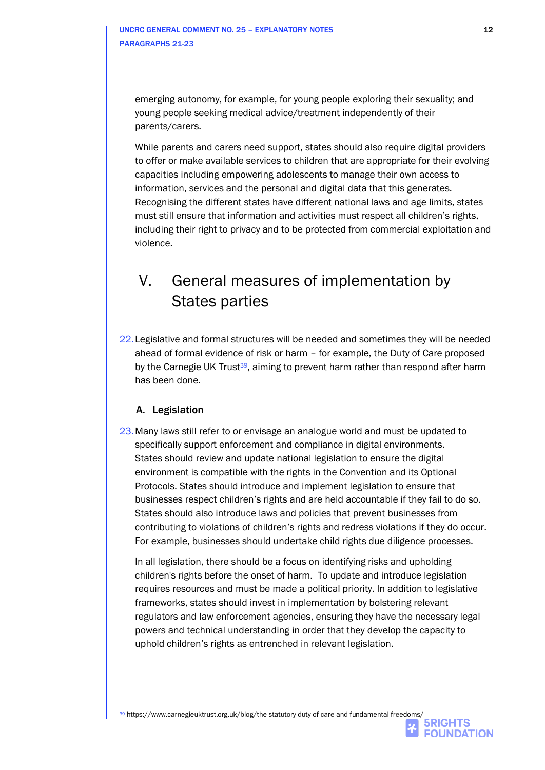emerging autonomy, for example, for young people exploring their sexuality; and young people seeking medical advice/treatment independently of their parents/carers.

While parents and carers need support, states should also require digital providers to offer or make available services to children that are appropriate for their evolving capacities including empowering adolescents to manage their own access to information, services and the personal and digital data that this generates. Recognising the different states have different national laws and age limits, states must still ensure that information and activities must respect all children's rights, including their right to privacy and to be protected from commercial exploitation and violence.

## V. General measures of implementation by States parties

22.Legislative and formal structures will be needed and sometimes they will be needed ahead of formal evidence of risk or harm – for example, the Duty of Care proposed by the Carnegie UK Trust<sup>39</sup>, aiming to prevent harm rather than respond after harm has been done.

## A. Legislation

23.Many laws still refer to or envisage an analogue world and must be updated to specifically support enforcement and compliance in digital environments. States should review and update national legislation to ensure the digital environment is compatible with the rights in the Convention and its Optional Protocols. States should introduce and implement legislation to ensure that businesses respect children's rights and are held accountable if they fail to do so. States should also introduce laws and policies that prevent businesses from contributing to violations of children's rights and redress violations if they do occur. For example, businesses should undertake child rights due diligence processes.

In all legislation, there should be a focus on identifying risks and upholding children's rights before the onset of harm. To update and introduce legislation requires resources and must be made a political priority. In addition to legislative frameworks, states should invest in implementation by bolstering relevant regulators and law enforcement agencies, ensuring they have the necessary legal powers and technical understanding in order that they develop the capacity to uphold children's rights as entrenched in relevant legislation.

**FOUNDATION**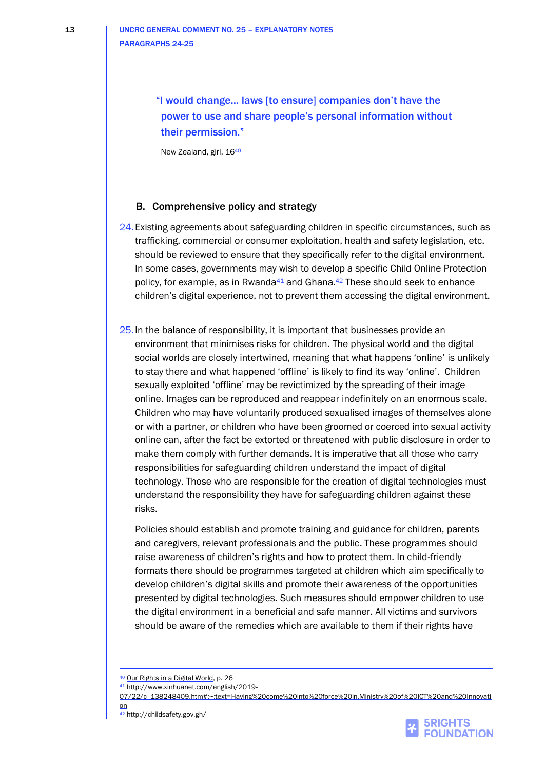"I would change... laws [to ensure] companies don't have the power to use and share people's personal information without their permission."

New Zealand, girl, 16<sup>40</sup>

### B. Comprehensive policy and strategy

- 24.Existing agreements about safeguarding children in specific circumstances, such as trafficking, commercial or consumer exploitation, health and safety legislation, etc. should be reviewed to ensure that they specifically refer to the digital environment. In some cases, governments may wish to develop a specific Child Online Protection policy, for example, as in Rwanda<sup>41</sup> and Ghana. $42$  These should seek to enhance children's digital experience, not to prevent them accessing the digital environment.
- 25. In the balance of responsibility, it is important that businesses provide an environment that minimises risks for children. The physical world and the digital social worlds are closely intertwined, meaning that what happens 'online' is unlikely to stay there and what happened 'offline' is likely to find its way 'online'. Children sexually exploited 'offline' may be revictimized by the spreading of their image online. Images can be reproduced and reappear indefinitely on an enormous scale. Children who may have voluntarily produced sexualised images of themselves alone or with a partner, or children who have been groomed or coerced into sexual activity online can, after the fact be extorted or threatened with public disclosure in order to make them comply with further demands. It is imperative that all those who carry responsibilities for safeguarding children understand the impact of digital technology. Those who are responsible for the creation of digital technologies must understand the responsibility they have for safeguarding children against these risks.

Policies should establish and promote training and guidance for children, parents and caregivers, relevant professionals and the public. These programmes should raise awareness of children's rights and how to protect them. In child-friendly formats there should be programmes targeted at children which aim specifically to develop children's digital skills and promote their awareness of the opportunities presented by digital technologies. Such measures should empower children to use the digital environment in a beneficial and safe manner. All victims and survivors should be aware of the remedies which are available to them if their rights have



<sup>40</sup> Our Rights in [a Digital World,](https://5rightsfoundation.com/uploads/Our%20Rights%20in%20a%20Digital%20World.pdf) p. 26

<sup>41</sup> [http://www.xinhuanet.com/english/2019-](http://www.xinhuanet.com/english/2019-07/22/c_138248409.htm#:~:text=Having%20come%20into%20force%20in,Ministry%20of%20ICT%20and%20Innovation)

[<sup>07/22/</sup>c\\_138248409.htm#:~:text=Having%20come%20into%20force%20in,Ministry%20of%20ICT%20and%20Innovati](http://www.xinhuanet.com/english/2019-07/22/c_138248409.htm#:~:text=Having%20come%20into%20force%20in,Ministry%20of%20ICT%20and%20Innovation) [on](http://www.xinhuanet.com/english/2019-07/22/c_138248409.htm#:~:text=Having%20come%20into%20force%20in,Ministry%20of%20ICT%20and%20Innovation)

<sup>42</sup> <http://childsafety.gov.gh/>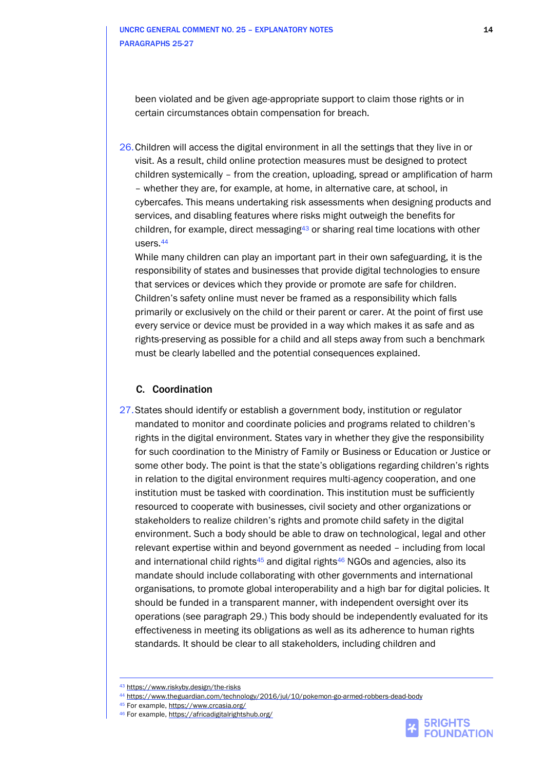been violated and be given age-appropriate support to claim those rights or in certain circumstances obtain compensation for breach.

26.Children will access the digital environment in all the settings that they live in or visit. As a result, child online protection measures must be designed to protect children systemically – from the creation, uploading, spread or amplification of harm – whether they are, for example, at home, in alternative care, at school, in cybercafes. This means undertaking risk assessments when designing products and services, and disabling features where risks might outweigh the benefits for children, for example, direct messaging<sup>43</sup> or sharing real time locations with other users.<sup>44</sup>

While many children can play an important part in their own safeguarding, it is the responsibility of states and businesses that provide digital technologies to ensure that services or devices which they provide or promote are safe for children. Children's safety online must never be framed as a responsibility which falls primarily or exclusively on the child or their parent or carer. At the point of first use every service or device must be provided in a way which makes it as safe and as rights-preserving as possible for a child and all steps away from such a benchmark must be clearly labelled and the potential consequences explained.

#### C. Coordination

27.States should identify or establish a government body, institution or regulator mandated to monitor and coordinate policies and programs related to children's rights in the digital environment. States vary in whether they give the responsibility for such coordination to the Ministry of Family or Business or Education or Justice or some other body. The point is that the state's obligations regarding children's rights in relation to the digital environment requires multi-agency cooperation, and one institution must be tasked with coordination. This institution must be sufficiently resourced to cooperate with businesses, civil society and other organizations or stakeholders to realize children's rights and promote child safety in the digital environment. Such a body should be able to draw on technological, legal and other relevant expertise within and beyond government as needed – including from local and international child rights<sup>45</sup> and digital rights<sup>46</sup> NGOs and agencies, also its mandate should include collaborating with other governments and international organisations, to promote global interoperability and a high bar for digital policies. It should be funded in a transparent manner, with independent oversight over its operations (see paragraph 29.) This body should be independently evaluated for its effectiveness in meeting its obligations as well as its adherence to human rights standards. It should be clear to all stakeholders, including children and



<sup>43</sup> <https://www.riskyby.design/the-risks>

<sup>44</sup> <https://www.theguardian.com/technology/2016/jul/10/pokemon-go-armed-robbers-dead-body>

<sup>45</sup> For example[, https://www.crcasia.org/](https://www.crcasia.org/)

<sup>46</sup> For example[, https://africadigitalrightshub.org/](https://africadigitalrightshub.org/)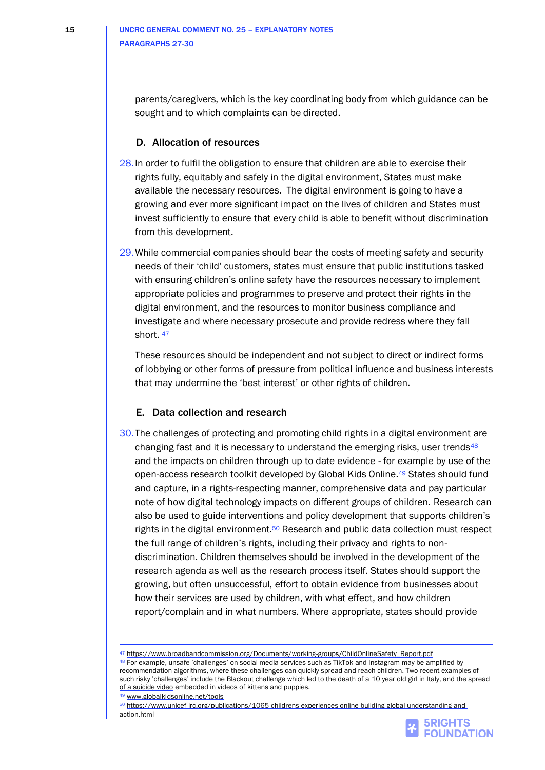parents/caregivers, which is the key coordinating body from which guidance can be sought and to which complaints can be directed.

#### D. Allocation of resources

- 28.In order to fulfil the obligation to ensure that children are able to exercise their rights fully, equitably and safely in the digital environment, States must make available the necessary resources. The digital environment is going to have a growing and ever more significant impact on the lives of children and States must invest sufficiently to ensure that every child is able to benefit without discrimination from this development.
- 29.While commercial companies should bear the costs of meeting safety and security needs of their 'child' customers, states must ensure that public institutions tasked with ensuring children's online safety have the resources necessary to implement appropriate policies and programmes to preserve and protect their rights in the digital environment, and the resources to monitor business compliance and investigate and where necessary prosecute and provide redress where they fall short.<sup>47</sup>

These resources should be independent and not subject to direct or indirect forms of lobbying or other forms of pressure from political influence and business interests that may undermine the 'best interest' or other rights of children.

### E. Data collection and research

30.The challenges of protecting and promoting child rights in a digital environment are changing fast and it is necessary to understand the emerging risks, user trends<sup>48</sup> and the impacts on children through up to date evidence - for example by use of the open-access research toolkit developed by Global Kids Online.<sup>49</sup> States should fund and capture, in a rights-respecting manner, comprehensive data and pay particular note of how digital technology impacts on different groups of children. Research can also be used to guide interventions and policy development that supports children's rights in the digital environment.<sup>50</sup> Research and public data collection must respect the full range of children's rights, including their privacy and rights to nondiscrimination. Children themselves should be involved in the development of the research agenda as well as the research process itself. States should support the growing, but often unsuccessful, effort to obtain evidence from businesses about how their services are used by children, with what effect, and how children report/complain and in what numbers. Where appropriate, states should provide

48 For example, unsafe 'challenges' on social media services such as TikTok and Instagram may be amplified by recommendation algorithms, where these challenges can quickly spread and reach children. Two recent examples of such risky 'challenges' include the Blackout challenge which led to the death of a [10 year old](https://www.theguardian.com/world/2021/jan/23/italy-blocks-tiktok-for-certain-users-after-death-of-girl-allegedly-playing-choking-game) girl in Italy, and the spread [of a suicide video](https://techcrunch.com/2020/09/13/graphic-video-of-suicide-spreads-from-facebook-to-tiktok-to-youtube-as-platforms-fail-moderation-test/) embedded in videos of kittens and puppies.

<sup>50</sup> [https://www.unicef-irc.org/publications/1065-childrens-experiences-online-building-global-understanding-and](https://www.unicef-irc.org/publications/1065-childrens-experiences-online-building-global-understanding-and-action.html)[action.html](https://www.unicef-irc.org/publications/1065-childrens-experiences-online-building-global-understanding-and-action.html)



<sup>47</sup> https://www.broadbandcommission.org/Documents/working-groups/ChildOnlineSafety\_Report.pdf

<sup>49</sup> [www.globalkidsonline.net/tools](http://www.globalkidsonline.net/tools)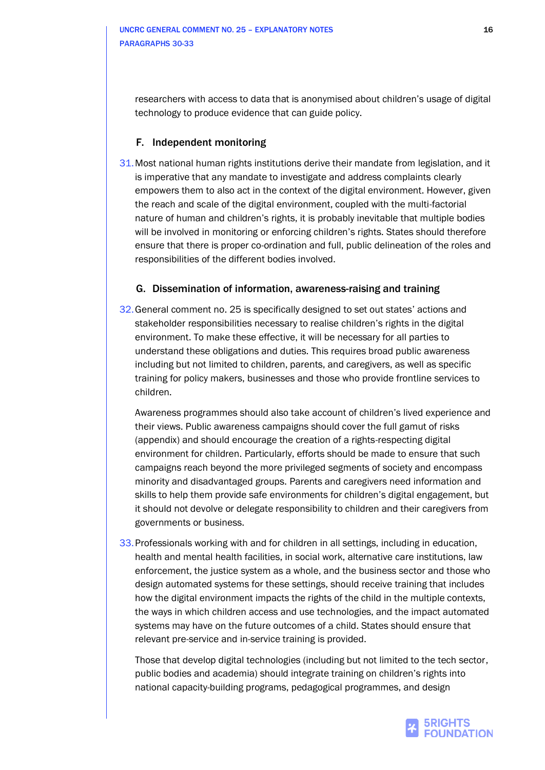researchers with access to data that is anonymised about children's usage of digital technology to produce evidence that can guide policy.

### F. Independent monitoring

31.Most national human rights institutions derive their mandate from legislation, and it is imperative that any mandate to investigate and address complaints clearly empowers them to also act in the context of the digital environment. However, given the reach and scale of the digital environment, coupled with the multi-factorial nature of human and children's rights, it is probably inevitable that multiple bodies will be involved in monitoring or enforcing children's rights. States should therefore ensure that there is proper co-ordination and full, public delineation of the roles and responsibilities of the different bodies involved.

### G. Dissemination of information, awareness-raising and training

32.General comment no. 25 is specifically designed to set out states' actions and stakeholder responsibilities necessary to realise children's rights in the digital environment. To make these effective, it will be necessary for all parties to understand these obligations and duties. This requires broad public awareness including but not limited to children, parents, and caregivers, as well as specific training for policy makers, businesses and those who provide frontline services to children.

Awareness programmes should also take account of children's lived experience and their views. Public awareness campaigns should cover the full gamut of risks (appendix) and should encourage the creation of a rights-respecting digital environment for children. Particularly, efforts should be made to ensure that such campaigns reach beyond the more privileged segments of society and encompass minority and disadvantaged groups. Parents and caregivers need information and skills to help them provide safe environments for children's digital engagement, but it should not devolve or delegate responsibility to children and their caregivers from governments or business.

33.Professionals working with and for children in all settings, including in education, health and mental health facilities, in social work, alternative care institutions, law enforcement, the justice system as a whole, and the business sector and those who design automated systems for these settings, should receive training that includes how the digital environment impacts the rights of the child in the multiple contexts, the ways in which children access and use technologies, and the impact automated systems may have on the future outcomes of a child. States should ensure that relevant pre-service and in-service training is provided.

Those that develop digital technologies (including but not limited to the tech sector, public bodies and academia) should integrate training on children's rights into national capacity-building programs, pedagogical programmes, and design

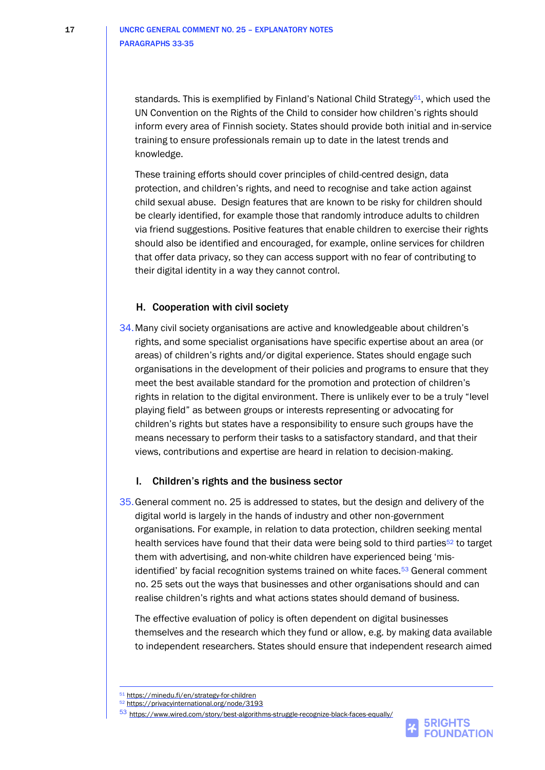standards. This is exemplified by Finland's National Child Strategy<sup>51</sup>, which used the UN Convention on the Rights of the Child to consider how children's rights should inform every area of Finnish society. States should provide both initial and in-service training to ensure professionals remain up to date in the latest trends and knowledge.

These training efforts should cover principles of child-centred design, data protection, and children's rights, and need to recognise and take action against child sexual abuse. Design features that are known to be risky for children should be clearly identified, for example those that randomly introduce adults to children via friend suggestions. Positive features that enable children to exercise their rights should also be identified and encouraged, for example, online services for children that offer data privacy, so they can access support with no fear of contributing to their digital identity in a way they cannot control.

### H. Cooperation with civil society

34.Many civil society organisations are active and knowledgeable about children's rights, and some specialist organisations have specific expertise about an area (or areas) of children's rights and/or digital experience. States should engage such organisations in the development of their policies and programs to ensure that they meet the best available standard for the promotion and protection of children's rights in relation to the digital environment. There is unlikely ever to be a truly "level playing field" as between groups or interests representing or advocating for children's rights but states have a responsibility to ensure such groups have the means necessary to perform their tasks to a satisfactory standard, and that their views, contributions and expertise are heard in relation to decision-making.

### I. Children's rights and the business sector

35.General comment no. 25 is addressed to states, but the design and delivery of the digital world is largely in the hands of industry and other non-government organisations. For example, in relation to data protection, children seeking mental health services have found that their data were being sold to third parties<sup>52</sup> to target them with advertising, and non-white children have experienced being 'misidentified' by facial recognition systems trained on white faces.<sup>53</sup> General comment no. 25 sets out the ways that businesses and other organisations should and can realise children's rights and what actions states should demand of business.

The effective evaluation of policy is often dependent on digital businesses themselves and the research which they fund or allow, e.g. by making data available to independent researchers. States should ensure that independent research aimed

<sup>51</sup> <https://minedu.fi/en/strategy-for-children>

<sup>52</sup> <https://privacyinternational.org/node/3193>

<sup>53</sup> <https://www.wired.com/story/best-algorithms-struggle-recognize-black-faces-equally/>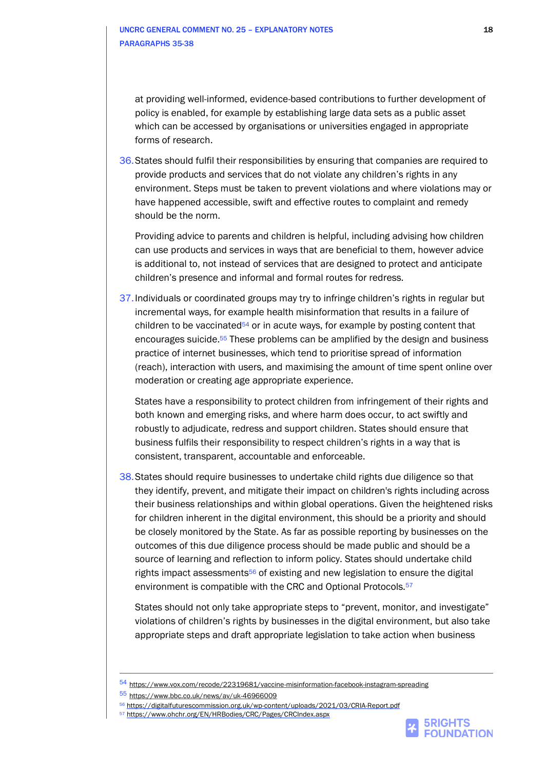at providing well-informed, evidence-based contributions to further development of policy is enabled, for example by establishing large data sets as a public asset which can be accessed by organisations or universities engaged in appropriate forms of research.

36.States should fulfil their responsibilities by ensuring that companies are required to provide products and services that do not violate any children's rights in any environment. Steps must be taken to prevent violations and where violations may or have happened accessible, swift and effective routes to complaint and remedy should be the norm.

Providing advice to parents and children is helpful, including advising how children can use products and services in ways that are beneficial to them, however advice is additional to, not instead of services that are designed to protect and anticipate children's presence and informal and formal routes for redress.

37.Individuals or coordinated groups may try to infringe children's rights in regular but incremental ways, for example health misinformation that results in a failure of children to be vaccinated<sup>54</sup> or in acute ways, for example by posting content that encourages suicide.<sup>55</sup> These problems can be amplified by the design and business practice of internet businesses, which tend to prioritise spread of information (reach), interaction with users, and maximising the amount of time spent online over moderation or creating age appropriate experience.

States have a responsibility to protect children from infringement of their rights and both known and emerging risks, and where harm does occur, to act swiftly and robustly to adjudicate, redress and support children. States should ensure that business fulfils their responsibility to respect children's rights in a way that is consistent, transparent, accountable and enforceable.

38.States should require businesses to undertake child rights due diligence so that they identify, prevent, and mitigate their impact on children's rights including across their business relationships and within global operations. Given the heightened risks for children inherent in the digital environment, this should be a priority and should be closely monitored by the State. As far as possible reporting by businesses on the outcomes of this due diligence process should be made public and should be a source of learning and reflection to inform policy. States should undertake child rights impact assessments<sup>56</sup> of existing and new legislation to ensure the digital environment is compatible with the CRC and Optional Protocols.<sup>57</sup>

States should not only take appropriate steps to "prevent, monitor, and investigate" violations of children's rights by businesses in the digital environment, but also take appropriate steps and draft appropriate legislation to take action when business



<sup>54</sup> <https://www.vox.com/recode/22319681/vaccine-misinformation-facebook-instagram-spreading>

<sup>55</sup> <https://www.bbc.co.uk/news/av/uk-46966009>

<sup>56</sup> <https://digitalfuturescommission.org.uk/wp-content/uploads/2021/03/CRIA-Report.pdf>

<sup>57</sup> <https://www.ohchr.org/EN/HRBodies/CRC/Pages/CRCIndex.aspx>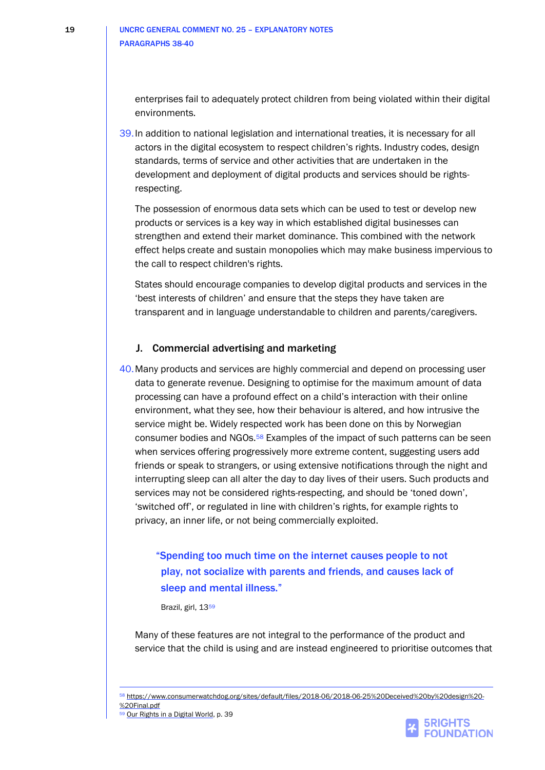enterprises fail to adequately protect children from being violated within their digital environments.

39.In addition to national legislation and international treaties, it is necessary for all actors in the digital ecosystem to respect children's rights. Industry codes, design standards, terms of service and other activities that are undertaken in the development and deployment of digital products and services should be rightsrespecting.

The possession of enormous data sets which can be used to test or develop new products or services is a key way in which established digital businesses can strengthen and extend their market dominance. This combined with the network effect helps create and sustain monopolies which may make business impervious to the call to respect children's rights.

States should encourage companies to develop digital products and services in the 'best interests of children' and ensure that the steps they have taken are transparent and in language understandable to children and parents/caregivers.

### J. Commercial advertising and marketing

40.Many products and services are highly commercial and depend on processing user data to generate revenue. Designing to optimise for the maximum amount of data processing can have a profound effect on a child's interaction with their online environment, what they see, how their behaviour is altered, and how intrusive the service might be. Widely respected work has been done on this by Norwegian consumer bodies and NGOs.<sup>58</sup> Examples of the impact of such patterns can be seen when services offering progressively more extreme content, suggesting users add friends or speak to strangers, or using extensive notifications through the night and interrupting sleep can all alter the day to day lives of their users. Such products and services may not be considered rights-respecting, and should be 'toned down', 'switched off', or regulated in line with children's rights, for example rights to privacy, an inner life, or not being commercially exploited.

## "Spending too much time on the internet causes people to not play, not socialize with parents and friends, and causes lack of sleep and mental illness."

Brazil, girl, 13<sup>59</sup>

Many of these features are not integral to the performance of the product and service that the child is using and are instead engineered to prioritise outcomes that

<sup>58</sup> [https://www.consumerwatchdog.org/sites/default/files/2018-06/2018-06-25%20Deceived%20by%20design%20-](https://www.consumerwatchdog.org/sites/default/files/2018-06/2018-06-25%20Deceived%20by%20design%20-%20Final.pdf) [%20Final.pdf](https://www.consumerwatchdog.org/sites/default/files/2018-06/2018-06-25%20Deceived%20by%20design%20-%20Final.pdf)

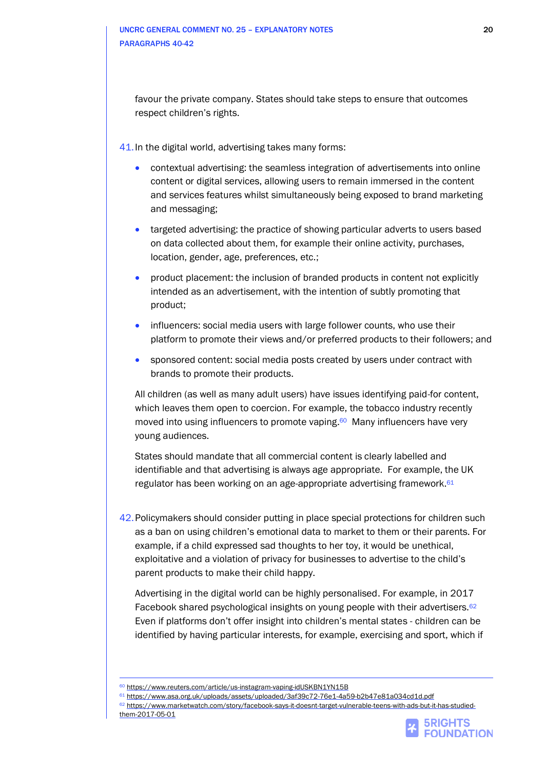favour the private company. States should take steps to ensure that outcomes respect children's rights.

41.In the digital world, advertising takes many forms:

- contextual advertising: the seamless integration of advertisements into online content or digital services, allowing users to remain immersed in the content and services features whilst simultaneously being exposed to brand marketing and messaging;
- targeted advertising: the practice of showing particular adverts to users based on data collected about them, for example their online activity, purchases, location, gender, age, preferences, etc.;
- product placement: the inclusion of branded products in content not explicitly intended as an advertisement, with the intention of subtly promoting that product;
- influencers: social media users with large follower counts, who use their platform to promote their views and/or preferred products to their followers; and
- sponsored content: social media posts created by users under contract with brands to promote their products.

All children (as well as many adult users) have issues identifying paid-for content, which leaves them open to coercion. For example, the tobacco industry recently moved into using influencers to promote vaping.<sup>60</sup> Many influencers have very young audiences.

States should mandate that all commercial content is clearly labelled and identifiable and that advertising is always age appropriate. For example, the UK regulator has been working on an age-appropriate advertising framework.<sup>61</sup>

42.Policymakers should consider putting in place special protections for children such as a ban on using children's emotional data to market to them or their parents. For example, if a child expressed sad thoughts to her toy, it would be unethical, exploitative and a violation of privacy for businesses to advertise to the child's parent products to make their child happy.

Advertising in the digital world can be highly personalised. For example, in 2017 Facebook shared psychological insights on young people with their advertisers.<sup>62</sup> Even if platforms don't offer insight into children's mental states - children can be identified by having particular interests, for example, exercising and sport, which if



<sup>60</sup> <https://www.reuters.com/article/us-instagram-vaping-idUSKBN1YN15B>

<sup>61</sup> <https://www.asa.org.uk/uploads/assets/uploaded/3af39c72-76e1-4a59-b2b47e81a034cd1d.pdf>

<sup>62</sup> [https://www.marketwatch.com/story/facebook-says-it-doesnt-target-vulnerable-teens-with-ads-but-it-has-studied](https://www.marketwatch.com/story/facebook-says-it-doesnt-target-vulnerable-teens-with-ads-but-it-has-studied-them-2017-05-01)[them-2017-05-01](https://www.marketwatch.com/story/facebook-says-it-doesnt-target-vulnerable-teens-with-ads-but-it-has-studied-them-2017-05-01)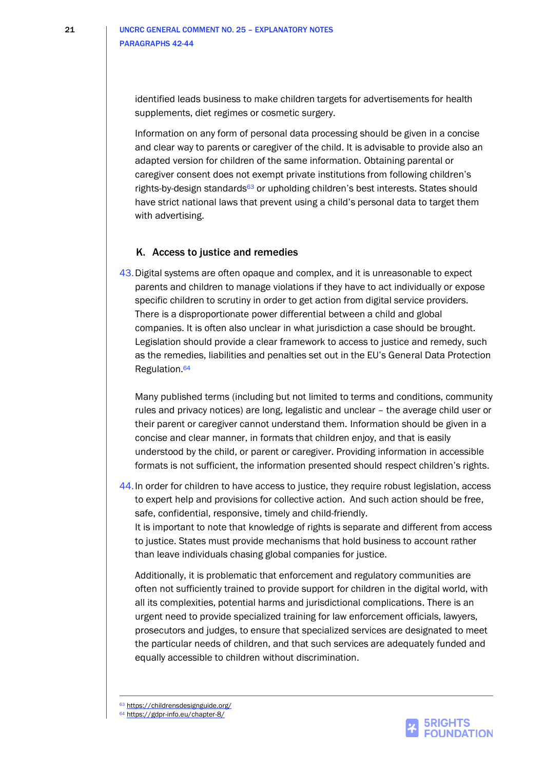identified leads business to make children targets for advertisements for health supplements, diet regimes or cosmetic surgery.

Information on any form of personal data processing should be given in a concise and clear way to parents or caregiver of the child. It is advisable to provide also an adapted version for children of the same information. Obtaining parental or caregiver consent does not exempt private institutions from following children's rights-by-design standards<sup>63</sup> or upholding children's best interests. States should have strict national laws that prevent using a child's personal data to target them with advertising.

#### K. Access to justice and remedies

43.Digital systems are often opaque and complex, and it is unreasonable to expect parents and children to manage violations if they have to act individually or expose specific children to scrutiny in order to get action from digital service providers. There is a disproportionate power differential between a child and global companies. It is often also unclear in what jurisdiction a case should be brought. Legislation should provide a clear framework to access to justice and remedy, such as the remedies, liabilities and penalties set out in the EU's General Data Protection Regulation.<sup>64</sup>

Many published terms (including but not limited to terms and conditions, community rules and privacy notices) are long, legalistic and unclear – the average child user or their parent or caregiver cannot understand them. Information should be given in a concise and clear manner, in formats that children enjoy, and that is easily understood by the child, or parent or caregiver. Providing information in accessible formats is not sufficient, the information presented should respect children's rights.

44.In order for children to have access to justice, they require robust legislation, access to expert help and provisions for collective action. And such action should be free, safe, confidential, responsive, timely and child-friendly. It is important to note that knowledge of rights is separate and different from access to justice. States must provide mechanisms that hold business to account rather than leave individuals chasing global companies for justice.

Additionally, it is problematic that enforcement and regulatory communities are often not sufficiently trained to provide support for children in the digital world, with all its complexities, potential harms and jurisdictional complications. There is an urgent need to provide specialized training for law enforcement officials, lawyers, prosecutors and judges, to ensure that specialized services are designated to meet the particular needs of children, and that such services are adequately funded and equally accessible to children without discrimination.

63 <https://childrensdesignguide.org/>



<sup>64</sup> <https://gdpr-info.eu/chapter-8/>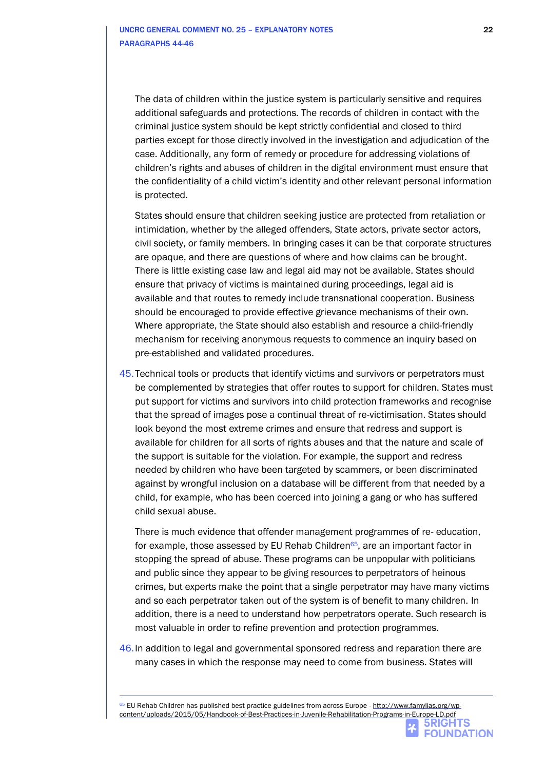The data of children within the justice system is particularly sensitive and requires additional safeguards and protections. The records of children in contact with the criminal justice system should be kept strictly confidential and closed to third parties except for those directly involved in the investigation and adjudication of the case. Additionally, any form of remedy or procedure for addressing violations of children's rights and abuses of children in the digital environment must ensure that the confidentiality of a child victim's identity and other relevant personal information is protected.

States should ensure that children seeking justice are protected from retaliation or intimidation, whether by the alleged offenders, State actors, private sector actors, civil society, or family members. In bringing cases it can be that corporate structures are opaque, and there are questions of where and how claims can be brought. There is little existing case law and legal aid may not be available. States should ensure that privacy of victims is maintained during proceedings, legal aid is available and that routes to remedy include transnational cooperation. Business should be encouraged to provide effective grievance mechanisms of their own. Where appropriate, the State should also establish and resource a child-friendly mechanism for receiving anonymous requests to commence an inquiry based on pre-established and validated procedures.

45.Technical tools or products that identify victims and survivors or perpetrators must be complemented by strategies that offer routes to support for children. States must put support for victims and survivors into child protection frameworks and recognise that the spread of images pose a continual threat of re-victimisation. States should look beyond the most extreme crimes and ensure that redress and support is available for children for all sorts of rights abuses and that the nature and scale of the support is suitable for the violation. For example, the support and redress needed by children who have been targeted by scammers, or been discriminated against by wrongful inclusion on a database will be different from that needed by a child, for example, who has been coerced into joining a gang or who has suffered child sexual abuse.

There is much evidence that offender management programmes of re- education, for example, those assessed by EU Rehab Children $65$ , are an important factor in stopping the spread of abuse. These programs can be unpopular with politicians and public since they appear to be giving resources to perpetrators of heinous crimes, but experts make the point that a single perpetrator may have many victims and so each perpetrator taken out of the system is of benefit to many children. In addition, there is a need to understand how perpetrators operate. Such research is most valuable in order to refine prevention and protection programmes.

46.In addition to legal and governmental sponsored redress and reparation there are many cases in which the response may need to come from business. States will

65 EU Rehab Children has published best practice guidelines from across Europe - [http://www.famylias.org/wp](http://www.famylias.org/wp-content/uploads/2015/05/Handbook-of-Best-Practices-in-Juvenile-Rehabilitation-Programs-in-Europe-LD.pdf)[content/uploads/2015/05/Handbook-of-Best-Practices-in-Juvenile-Rehabilitation-Programs-in-Europe-LD.pdf](http://www.famylias.org/wp-content/uploads/2015/05/Handbook-of-Best-Practices-in-Juvenile-Rehabilitation-Programs-in-Europe-LD.pdf)

**FOUNDATION**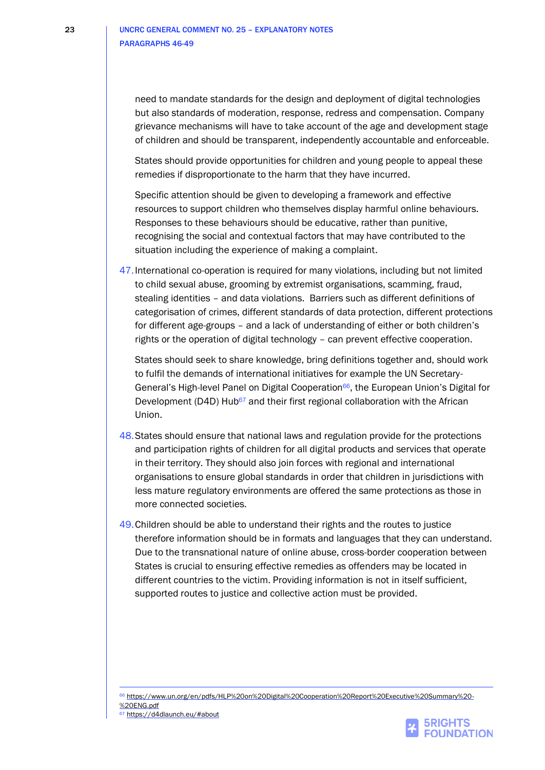need to mandate standards for the design and deployment of digital technologies but also standards of moderation, response, redress and compensation. Company grievance mechanisms will have to take account of the age and development stage of children and should be transparent, independently accountable and enforceable.

States should provide opportunities for children and young people to appeal these remedies if disproportionate to the harm that they have incurred.

Specific attention should be given to developing a framework and effective resources to support children who themselves display harmful online behaviours. Responses to these behaviours should be educative, rather than punitive, recognising the social and contextual factors that may have contributed to the situation including the experience of making a complaint.

47.International co-operation is required for many violations, including but not limited to child sexual abuse, grooming by extremist organisations, scamming, fraud, stealing identities – and data violations. Barriers such as different definitions of categorisation of crimes, different standards of data protection, different protections for different age-groups – and a lack of understanding of either or both children's rights or the operation of digital technology – can prevent effective cooperation.

States should seek to share knowledge, bring definitions together and, should work to fulfil the demands of international initiatives for example the UN Secretary-General's High-level Panel on Digital Cooperation<sup>66</sup>, the European Union's Digital for Development (D4D) Hub<sup>67</sup> and their first regional collaboration with the African Union.

- 48.States should ensure that national laws and regulation provide for the protections and participation rights of children for all digital products and services that operate in their territory. They should also join forces with regional and international organisations to ensure global standards in order that children in jurisdictions with less mature regulatory environments are offered the same protections as those in more connected societies.
- 49.Children should be able to understand their rights and the routes to justice therefore information should be in formats and languages that they can understand. Due to the transnational nature of online abuse, cross-border cooperation between States is crucial to ensuring effective remedies as offenders may be located in different countries to the victim. Providing information is not in itself sufficient, supported routes to justice and collective action must be provided.

<sup>66</sup> [https://www.un.org/en/pdfs/HLP%20on%20Digital%20Cooperation%20Report%20Executive%20Summary%20-](https://www.un.org/en/pdfs/HLP%20on%20Digital%20Cooperation%20Report%20Executive%20Summary%20-%20ENG.pdf) [%20ENG.pdf](https://www.un.org/en/pdfs/HLP%20on%20Digital%20Cooperation%20Report%20Executive%20Summary%20-%20ENG.pdf)



<sup>67</sup> <https://d4dlaunch.eu/#about>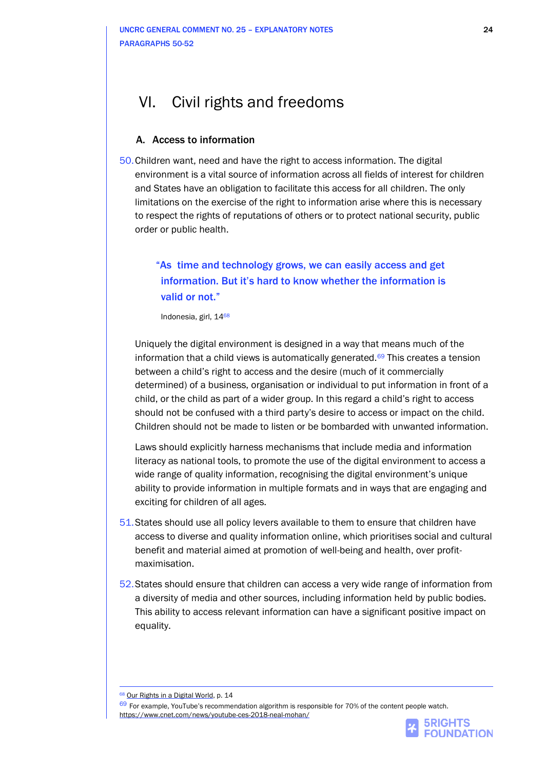## VI. Civil rights and freedoms

### A. Access to information

50.Children want, need and have the right to access information. The digital environment is a vital source of information across all fields of interest for children and States have an obligation to facilitate this access for all children. The only limitations on the exercise of the right to information arise where this is necessary to respect the rights of reputations of others or to protect national security, public order or public health.

## "As time and technology grows, we can easily access and get information. But it's hard to know whether the information is valid or not."

Indonesia, girl, 14<sup>68</sup>

Uniquely the digital environment is designed in a way that means much of the information that a child views is automatically generated. $69$  This creates a tension between a child's right to access and the desire (much of it commercially determined) of a business, organisation or individual to put information in front of a child, or the child as part of a wider group. In this regard a child's right to access should not be confused with a third party's desire to access or impact on the child. Children should not be made to listen or be bombarded with unwanted information.

Laws should explicitly harness mechanisms that include media and information literacy as national tools, to promote the use of the digital environment to access a wide range of quality information, recognising the digital environment's unique ability to provide information in multiple formats and in ways that are engaging and exciting for children of all ages.

- 51.States should use all policy levers available to them to ensure that children have access to diverse and quality information online, which prioritises social and cultural benefit and material aimed at promotion of well-being and health, over profitmaximisation.
- 52.States should ensure that children can access a very wide range of information from a diversity of media and other sources, including information held by public bodies. This ability to access relevant information can have a significant positive impact on equality.

[Our Rights in a Digital World,](https://5rightsfoundation.com/uploads/Our%20Rights%20in%20a%20Digital%20World.pdf) p. 14

69 For example, YouTube's recommendation algorithm is responsible for 70% of the content people watch. <https://www.cnet.com/news/youtube-ces-2018-neal-mohan/>

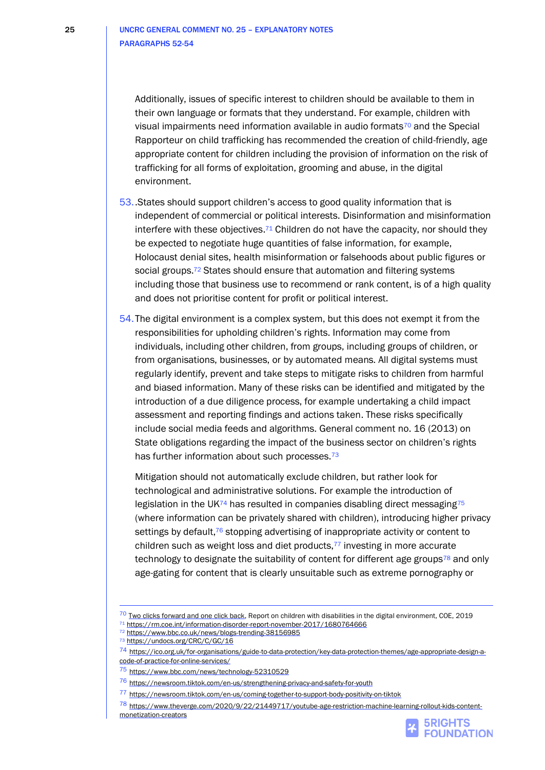Additionally, issues of specific interest to children should be available to them in their own language or formats that they understand. For example, children with visual impairments need information available in audio formats $70$  and the Special Rapporteur on child trafficking has recommended the creation of child-friendly, age appropriate content for children including the provision of information on the risk of trafficking for all forms of exploitation, grooming and abuse, in the digital environment.

- 53..States should support children's access to good quality information that is independent of commercial or political interests. Disinformation and misinformation interfere with these objectives.<sup>71</sup> Children do not have the capacity, nor should they be expected to negotiate huge quantities of false information, for example, Holocaust denial sites, health misinformation or falsehoods about public figures or social groups.<sup>72</sup> States should ensure that automation and filtering systems including those that business use to recommend or rank content, is of a high quality and does not prioritise content for profit or political interest.
- 54.The digital environment is a complex system, but this does not exempt it from the responsibilities for upholding children's rights. Information may come from individuals, including other children, from groups, including groups of children, or from organisations, businesses, or by automated means. All digital systems must regularly identify, prevent and take steps to mitigate risks to children from harmful and biased information. Many of these risks can be identified and mitigated by the introduction of a due diligence process, for example undertaking a child impact assessment and reporting findings and actions taken. These risks specifically include social media feeds and algorithms. General comment no. 16 (2013) on State obligations regarding the impact of the business sector on children's rights has further information about such processes.<sup>73</sup>

Mitigation should not automatically exclude children, but rather look for technological and administrative solutions. For example the introduction of legislation in the UK $^{74}$  has resulted in companies disabling direct messaging $^{75}$ (where information can be privately shared with children), introducing higher privacy settings by default, $76$  stopping advertising of inappropriate activity or content to children such as weight loss and diet products, $77$  investing in more accurate technology to designate the suitability of content for different age groups<sup>78</sup> and only age-gating for content that is clearly unsuitable such as extreme pornography or

<sup>78</sup> [https://www.theverge.com/2020/9/22/21449717/youtube-age-restriction-machine-learning-rollout-kids-content](https://www.theverge.com/2020/9/22/21449717/youtube-age-restriction-machine-learning-rollout-kids-content-monetization-creators)[monetization-creators](https://www.theverge.com/2020/9/22/21449717/youtube-age-restriction-machine-learning-rollout-kids-content-monetization-creators)





 $70$  [Two clicks forward and one click back,](https://rm.coe.int/two-clicks-forward-and-one-click-back-report-on-children-with-disabili/168098bd0f) Report on children with disabilities in the digital environment, COE, 2019 <sup>71</sup> <https://rm.coe.int/information-disorder-report-november-2017/1680764666>

<sup>72</sup> <https://www.bbc.co.uk/news/blogs-trending-38156985>

<sup>73</sup> <https://undocs.org/CRC/C/GC/16>

<sup>74</sup> [https://ico.org.uk/for-organisations/guide-to-data-protection/key-data-protection-themes/age-appropriate-design-a](https://ico.org.uk/for-organisations/guide-to-data-protection/key-data-protection-themes/age-appropriate-design-a-code-of-practice-for-online-services/)[code-of-practice-for-online-services/](https://ico.org.uk/for-organisations/guide-to-data-protection/key-data-protection-themes/age-appropriate-design-a-code-of-practice-for-online-services/)

<sup>75</sup> <https://www.bbc.com/news/technology-52310529>

<sup>76</sup> <https://newsroom.tiktok.com/en-us/strengthening-privacy-and-safety-for-youth>

<sup>77</sup> <https://newsroom.tiktok.com/en-us/coming-together-to-support-body-positivity-on-tiktok>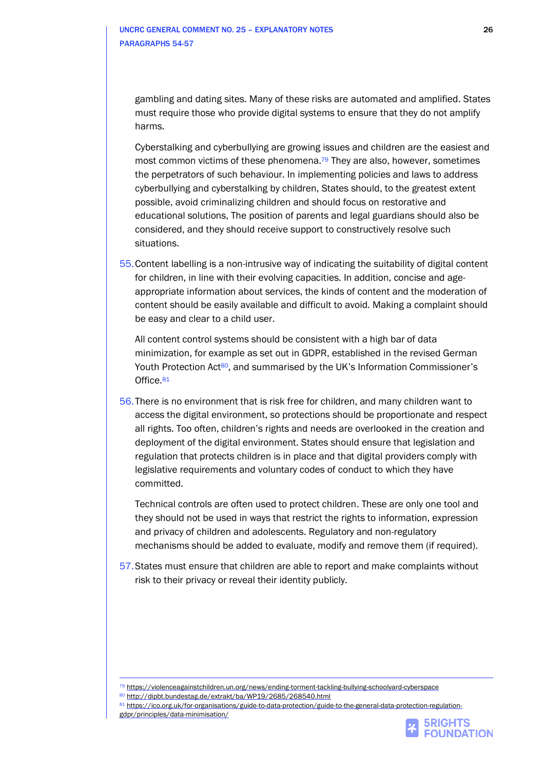gambling and dating sites. Many of these risks are automated and amplified. States must require those who provide digital systems to ensure that they do not amplify harms.

Cyberstalking and cyberbullying are growing issues and children are the easiest and most common victims of these phenomena.<sup>79</sup> They are also, however, sometimes the perpetrators of such behaviour. In implementing policies and laws to address cyberbullying and cyberstalking by children, States should, to the greatest extent possible, avoid criminalizing children and should focus on restorative and educational solutions, The position of parents and legal guardians should also be considered, and they should receive support to constructively resolve such situations.

55.Content labelling is a non-intrusive way of indicating the suitability of digital content for children, in line with their evolving capacities. In addition, concise and ageappropriate information about services, the kinds of content and the moderation of content should be easily available and difficult to avoid. Making a complaint should be easy and clear to a child user.

All content control systems should be consistent with a high bar of data minimization, for example as set out in GDPR, established in the revised German Youth Protection Act<sup>80</sup>, and summarised by the UK's Information Commissioner's Office.<sup>81</sup>

56.There is no environment that is risk free for children, and many children want to access the digital environment, so protections should be proportionate and respect all rights. Too often, children's rights and needs are overlooked in the creation and deployment of the digital environment. States should ensure that legislation and regulation that protects children is in place and that digital providers comply with legislative requirements and voluntary codes of conduct to which they have committed.

Technical controls are often used to protect children. These are only one tool and they should not be used in ways that restrict the rights to information, expression and privacy of children and adolescents. Regulatory and non-regulatory mechanisms should be added to evaluate, modify and remove them (if required).

57.States must ensure that children are able to report and make complaints without risk to their privacy or reveal their identity publicly.

<sup>81</sup> [https://ico.org.uk/for-organisations/guide-to-data-protection/guide-to-the-general-data-protection-regulation](https://ico.org.uk/for-organisations/guide-to-data-protection/guide-to-the-general-data-protection-regulation-gdpr/principles/data-minimisation/)[gdpr/principles/data-minimisation/](https://ico.org.uk/for-organisations/guide-to-data-protection/guide-to-the-general-data-protection-regulation-gdpr/principles/data-minimisation/)



<sup>79</sup> <https://violenceagainstchildren.un.org/news/ending-torment-tackling-bullying-schoolyard-cyberspace>

<sup>80</sup> <http://dipbt.bundestag.de/extrakt/ba/WP19/2685/268540.html>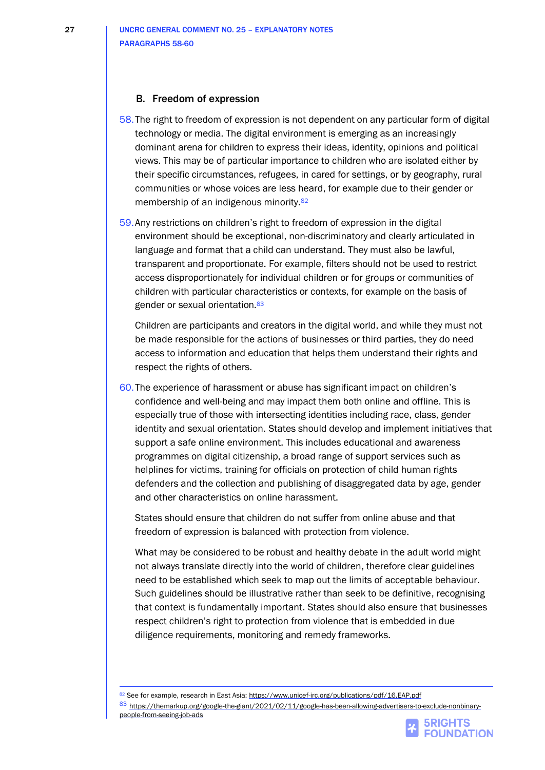#### B. Freedom of expression

- 58.The right to freedom of expression is not dependent on any particular form of digital technology or media. The digital environment is emerging as an increasingly dominant arena for children to express their ideas, identity, opinions and political views. This may be of particular importance to children who are isolated either by their specific circumstances, refugees, in cared for settings, or by geography, rural communities or whose voices are less heard, for example due to their gender or membership of an indigenous minority.<sup>82</sup>
- 59.Any restrictions on children's right to freedom of expression in the digital environment should be exceptional, non-discriminatory and clearly articulated in language and format that a child can understand. They must also be lawful, transparent and proportionate. For example, filters should not be used to restrict access disproportionately for individual children or for groups or communities of children with particular characteristics or contexts, for example on the basis of gender or sexual orientation.<sup>83</sup>

Children are participants and creators in the digital world, and while they must not be made responsible for the actions of businesses or third parties, they do need access to information and education that helps them understand their rights and respect the rights of others.

60.The experience of harassment or abuse has significant impact on children's confidence and well-being and may impact them both online and offline. This is especially true of those with intersecting identities including race, class, gender identity and sexual orientation. States should develop and implement initiatives that support a safe online environment. This includes educational and awareness programmes on digital citizenship, a broad range of support services such as helplines for victims, training for officials on protection of child human rights defenders and the collection and publishing of disaggregated data by age, gender and other characteristics on online harassment.

States should ensure that children do not suffer from online abuse and that freedom of expression is balanced with protection from violence.

What may be considered to be robust and healthy debate in the adult world might not always translate directly into the world of children, therefore clear guidelines need to be established which seek to map out the limits of acceptable behaviour. Such guidelines should be illustrative rather than seek to be definitive, recognising that context is fundamentally important. States should also ensure that businesses respect children's right to protection from violence that is embedded in due diligence requirements, monitoring and remedy frameworks.

82 See for example, research in East Asia[: https://www.unicef-irc.org/publications/pdf/16.EAP.pdf](https://www.unicef-irc.org/publications/pdf/16.EAP.pdf) 83 [https://themarkup.org/google-the-giant/2021/02/11/google-has-been-allowing-advertisers-to-exclude-nonbinary](https://themarkup.org/google-the-giant/2021/02/11/google-has-been-allowing-advertisers-to-exclude-nonbinary-people-from-seeing-job-ads)[people-from-seeing-job-ads](https://themarkup.org/google-the-giant/2021/02/11/google-has-been-allowing-advertisers-to-exclude-nonbinary-people-from-seeing-job-ads)

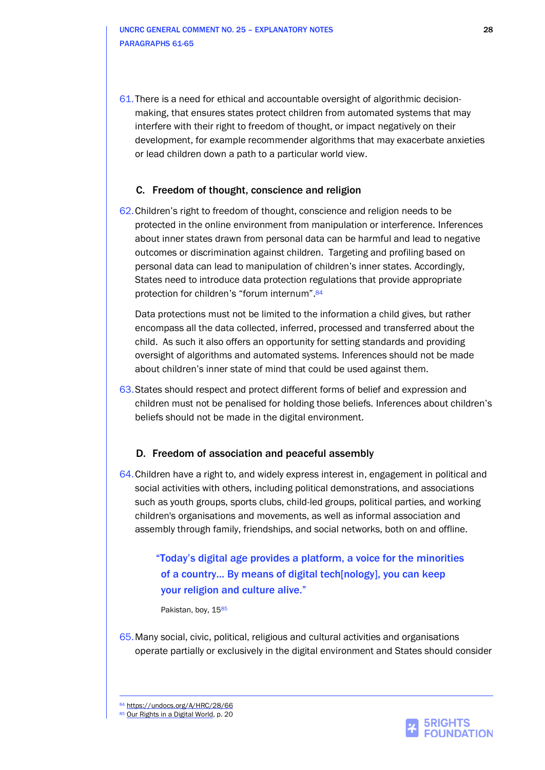UNCRC GENERAL COMMENT NO. 25 – EXPLANATORY NOTES 28 PARAGRAPHS 61-65

61.There is a need for ethical and accountable oversight of algorithmic decisionmaking, that ensures states protect children from automated systems that may interfere with their right to freedom of thought, or impact negatively on their development, for example recommender algorithms that may exacerbate anxieties or lead children down a path to a particular world view.

#### C. Freedom of thought, conscience and religion

62.Children's right to freedom of thought, conscience and religion needs to be protected in the online environment from manipulation or interference. Inferences about inner states drawn from personal data can be harmful and lead to negative outcomes or discrimination against children. Targeting and profiling based on personal data can lead to manipulation of children's inner states. Accordingly, States need to introduce data protection regulations that provide appropriate protection for children's "forum internum". 84

Data protections must not be limited to the information a child gives, but rather encompass all the data collected, inferred, processed and transferred about the child. As such it also offers an opportunity for setting standards and providing oversight of algorithms and automated systems. Inferences should not be made about children's inner state of mind that could be used against them.

63.States should respect and protect different forms of belief and expression and children must not be penalised for holding those beliefs. Inferences about children's beliefs should not be made in the digital environment.

#### D. Freedom of association and peaceful assembly

64.Children have a right to, and widely express interest in, engagement in political and social activities with others, including political demonstrations, and associations such as youth groups, sports clubs, child-led groups, political parties, and working children's organisations and movements, as well as informal association and assembly through family, friendships, and social networks, both on and offline.

## "Today's digital age provides a platform, a voice for the minorities of a country... By means of digital tech[nology], you can keep your religion and culture alive."

Pakistan, boy, 1585

65.Many social, civic, political, religious and cultural activities and organisations operate partially or exclusively in the digital environment and States should consider

84 [https://undocs.org/A/HRC/28/66](https://undocs.org/A/HRC/28/66/Add.1) 85 [Our Rights in a Digital World,](https://5rightsfoundation.com/uploads/Our%20Rights%20in%20a%20Digital%20World.pdf) p. 20

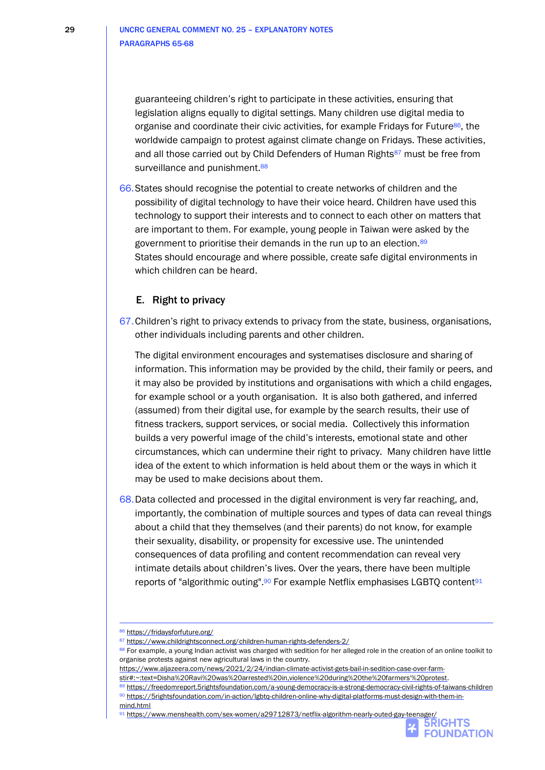guaranteeing children's right to participate in these activities, ensuring that legislation aligns equally to digital settings. Many children use digital media to organise and coordinate their civic activities, for example Fridays for Future86, the worldwide campaign to protest against climate change on Fridays. These activities, and all those carried out by Child Defenders of Human Rights<sup>87</sup> must be free from surveillance and punishment.<sup>88</sup>

66.States should recognise the potential to create networks of children and the possibility of digital technology to have their voice heard. Children have used this technology to support their interests and to connect to each other on matters that are important to them. For example, young people in Taiwan were asked by the government to prioritise their demands in the run up to an election.<sup>89</sup> States should encourage and where possible, create safe digital environments in which children can be heard.

#### E. Right to privacy

67.Children's right to privacy extends to privacy from the state, business, organisations, other individuals including parents and other children.

The digital environment encourages and systematises disclosure and sharing of information. This information may be provided by the child, their family or peers, and it may also be provided by institutions and organisations with which a child engages, for example school or a youth organisation. It is also both gathered, and inferred (assumed) from their digital use, for example by the search results, their use of fitness trackers, support services, or social media. Collectively this information builds a very powerful image of the child's interests, emotional state and other circumstances, which can undermine their right to privacy. Many children have little idea of the extent to which information is held about them or the ways in which it may be used to make decisions about them.

68.Data collected and processed in the digital environment is very far reaching, and, importantly, the combination of multiple sources and types of data can reveal things about a child that they themselves (and their parents) do not know, for example their sexuality, disability, or propensity for excessive use. The unintended consequences of data profiling and content recommendation can reveal very intimate details about children's lives. Over the years, there have been multiple reports of "algorithmic outing".<sup>90</sup> For example Netflix emphasises LGBTQ content<sup>91</sup>

<sup>91</sup> <https://www.menshealth.com/sex-women/a29712873/netflix-algorithm-nearly-outed-gay-teenager/>



<sup>86</sup> <https://fridaysforfuture.org/>

<sup>87</sup> <https://www.childrightsconnect.org/children-human-rights-defenders-2/>

<sup>88</sup> For example, a young Indian activist was charged with sedition for her alleged role in the creation of an online toolkit to organise protests against new agricultural laws in the country.

[https://www.aljazeera.com/news/2021/2/24/indian-climate-activist-gets-bail-in-sedition-case-over-farm-](https://www.aljazeera.com/news/2021/2/24/indian-climate-activist-gets-bail-in-sedition-case-over-farm-stir#:~:text=Disha%20Ravi%20was%20arrested%20in,violence%20during%20the%20farmers)

[stir#:~:text=Disha%20Ravi%20was%20arrested%20in,violence%20during%20the%20farmers'%20protest.](https://www.aljazeera.com/news/2021/2/24/indian-climate-activist-gets-bail-in-sedition-case-over-farm-stir#:~:text=Disha%20Ravi%20was%20arrested%20in,violence%20during%20the%20farmers)

<sup>89</sup> <https://freedomreport.5rightsfoundation.com/a-young-democracy-is-a-strong-democracy-civil-rights-of-taiwans-children> <sup>90</sup> [https://5rightsfoundation.com/in-action/lgbtq-children-online-why-digital-platforms-must-design-with-them-in](https://5rightsfoundation.com/in-action/lgbtq-children-online-why-digital-platforms-must-design-with-them-in-mind.html)[mind.html](https://5rightsfoundation.com/in-action/lgbtq-children-online-why-digital-platforms-must-design-with-them-in-mind.html)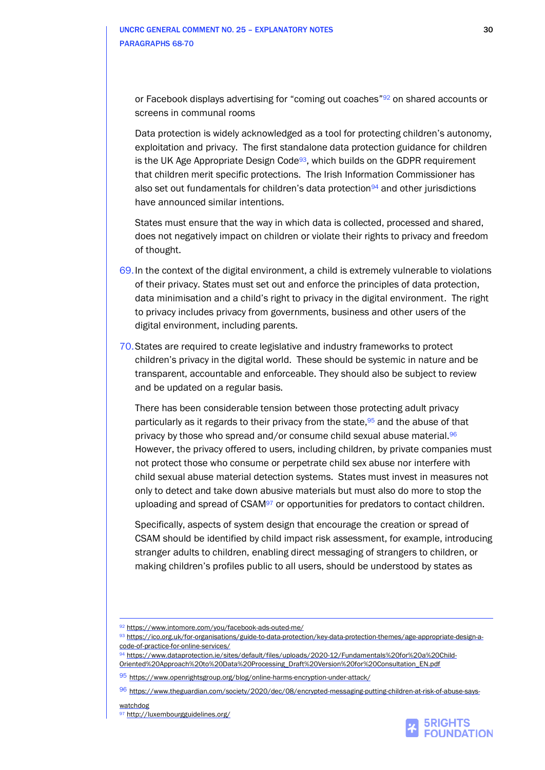or Facebook displays advertising for "coming out coaches"<sup>92</sup> on shared accounts or screens in communal rooms

Data protection is widely acknowledged as a tool for protecting children's autonomy, exploitation and privacy. The first standalone data protection guidance for children is the UK Age Appropriate Design Code<sup>93</sup>, which builds on the GDPR requirement that children merit specific protections. The Irish Information Commissioner has also set out fundamentals for children's data protection<sup>94</sup> and other jurisdictions have announced similar intentions.

States must ensure that the way in which data is collected, processed and shared, does not negatively impact on children or violate their rights to privacy and freedom of thought.

- 69.In the context of the digital environment, a child is extremely vulnerable to violations of their privacy. States must set out and enforce the principles of data protection, data minimisation and a child's right to privacy in the digital environment. The right to privacy includes privacy from governments, business and other users of the digital environment, including parents.
- 70.States are required to create legislative and industry frameworks to protect children's privacy in the digital world. These should be systemic in nature and be transparent, accountable and enforceable. They should also be subject to review and be updated on a regular basis.

There has been considerable tension between those protecting adult privacy particularly as it regards to their privacy from the state, <sup>95</sup> and the abuse of that privacy by those who spread and/or consume child sexual abuse material.<sup>96</sup> However, the privacy offered to users, including children, by private companies must not protect those who consume or perpetrate child sex abuse nor interfere with child sexual abuse material detection systems. States must invest in measures not only to detect and take down abusive materials but must also do more to stop the uploading and spread of CSAM<sup>97</sup> or opportunities for predators to contact children.

Specifically, aspects of system design that encourage the creation or spread of CSAM should be identified by child impact risk assessment, for example, introducing stranger adults to children, enabling direct messaging of strangers to children, or making children's profiles public to all users, should be understood by states as



<sup>92</sup> <https://www.intomore.com/you/facebook-ads-outed-me/>

<sup>93</sup> [https://ico.org.uk/for-organisations/guide-to-data-protection/key-data-protection-themes/age-appropriate-design-a](https://ico.org.uk/for-organisations/guide-to-data-protection/key-data-protection-themes/age-appropriate-design-a-code-of-practice-for-online-services/)[code-of-practice-for-online-services/](https://ico.org.uk/for-organisations/guide-to-data-protection/key-data-protection-themes/age-appropriate-design-a-code-of-practice-for-online-services/)

<sup>94</sup> [https://www.dataprotection.ie/sites/default/files/uploads/2020-12/Fundamentals%20for%20a%20Child-](https://www.dataprotection.ie/sites/default/files/uploads/2020-12/Fundamentals%20for%20a%20Child-Oriented%20Approach%20to%20Data%20Processing_Draft%20Version%20for%20Consultation_EN.pdf)[Oriented%20Approach%20to%20Data%20Processing\\_Draft%20Version%20for%20Consultation\\_EN.pdf](https://www.dataprotection.ie/sites/default/files/uploads/2020-12/Fundamentals%20for%20a%20Child-Oriented%20Approach%20to%20Data%20Processing_Draft%20Version%20for%20Consultation_EN.pdf)

<sup>95</sup> <https://www.openrightsgroup.org/blog/online-harms-encryption-under-attack/>

<sup>96</sup> [https://www.theguardian.com/society/2020/dec/08/encrypted-messaging-putting-children-at-risk-of-abuse-says-](https://www.theguardian.com/society/2020/dec/08/encrypted-messaging-putting-children-at-risk-of-abuse-says-watchdog)

[watchdog](https://www.theguardian.com/society/2020/dec/08/encrypted-messaging-putting-children-at-risk-of-abuse-says-watchdog) 97 <http://luxembourgguidelines.org/>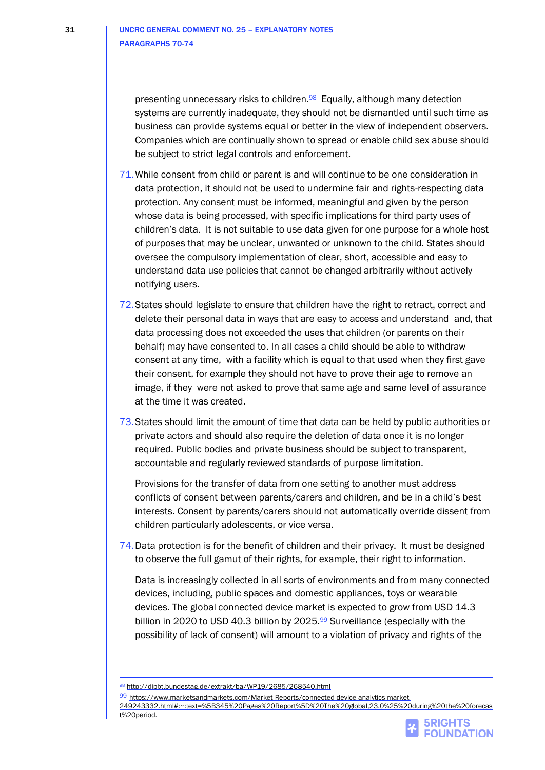presenting unnecessary risks to children.98 Equally, although many detection systems are currently inadequate, they should not be dismantled until such time as business can provide systems equal or better in the view of independent observers. Companies which are continually shown to spread or enable child sex abuse should be subject to strict legal controls and enforcement.

- 71.While consent from child or parent is and will continue to be one consideration in data protection, it should not be used to undermine fair and rights-respecting data protection. Any consent must be informed, meaningful and given by the person whose data is being processed, with specific implications for third party uses of children's data. It is not suitable to use data given for one purpose for a whole host of purposes that may be unclear, unwanted or unknown to the child. States should oversee the compulsory implementation of clear, short, accessible and easy to understand data use policies that cannot be changed arbitrarily without actively notifying users.
- 72.States should legislate to ensure that children have the right to retract, correct and delete their personal data in ways that are easy to access and understand and, that data processing does not exceeded the uses that children (or parents on their behalf) may have consented to. In all cases a child should be able to withdraw consent at any time, with a facility which is equal to that used when they first gave their consent, for example they should not have to prove their age to remove an image, if they were not asked to prove that same age and same level of assurance at the time it was created.
- 73.States should limit the amount of time that data can be held by public authorities or private actors and should also require the deletion of data once it is no longer required. Public bodies and private business should be subject to transparent, accountable and regularly reviewed standards of purpose limitation.

Provisions for the transfer of data from one setting to another must address conflicts of consent between parents/carers and children, and be in a child's best interests. Consent by parents/carers should not automatically override dissent from children particularly adolescents, or vice versa.

74.Data protection is for the benefit of children and their privacy. It must be designed to observe the full gamut of their rights, for example, their right to information.

Data is increasingly collected in all sorts of environments and from many connected devices, including, public spaces and domestic appliances, toys or wearable devices. The global connected device market is expected to grow from USD 14.3 billion in 2020 to USD 40.3 billion by 2025.<sup>99</sup> Surveillance (especially with the possibility of lack of consent) will amount to a violation of privacy and rights of the

**FOUNDATION** 

<sup>98</sup> <http://dipbt.bundestag.de/extrakt/ba/WP19/2685/268540.html>

<sup>99</sup> [https://www.marketsandmarkets.com/Market-Reports/connected-device-analytics-market-](https://www.marketsandmarkets.com/Market-Reports/connected-device-analytics-market-249243332.html%23:~:text=%5B345%20Pages%20Report%5D%20The%20global,23.0%25%20during%20the%20forecast%20period.)

[<sup>249243332.</sup>html#:~:text=%5B345%20Pages%20Report%5D%20The%20global,23.0%25%20during%20the%20forecas](https://www.marketsandmarkets.com/Market-Reports/connected-device-analytics-market-249243332.html%23:~:text=%5B345%20Pages%20Report%5D%20The%20global,23.0%25%20during%20the%20forecast%20period.) [t%20period.](https://www.marketsandmarkets.com/Market-Reports/connected-device-analytics-market-249243332.html%23:~:text=%5B345%20Pages%20Report%5D%20The%20global,23.0%25%20during%20the%20forecast%20period.)**5RIGHTS**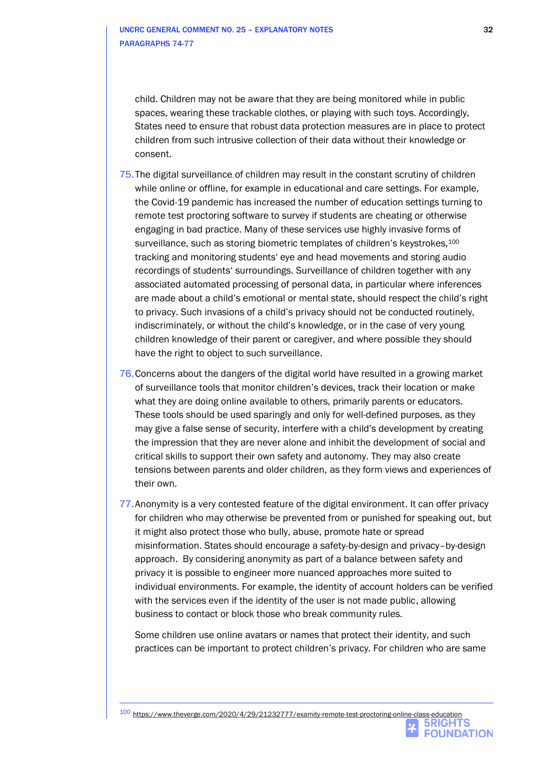child. Children may not be aware that they are being monitored while in public spaces, wearing these trackable clothes, or playing with such toys. Accordingly, States need to ensure that robust data protection measures are in place to protect children from such intrusive collection of their data without their knowledge or consent.

- 75.The digital surveillance of children may result in the constant scrutiny of children while online or offline, for example in educational and care settings. For example, the Covid-19 pandemic has increased the number of education settings turning to remote test proctoring software to survey if students are cheating or otherwise engaging in bad practice. Many of these services use highly invasive forms of surveillance, such as storing biometric templates of children's keystrokes,<sup>100</sup> tracking and monitoring students' eye and head movements and storing audio recordings of students' surroundings. Surveillance of children together with any associated automated processing of personal data, in particular where inferences are made about a child's emotional or mental state, should respect the child's right to privacy. Such invasions of a child's privacy should not be conducted routinely, indiscriminately, or without the child's knowledge, or in the case of very young children knowledge of their parent or caregiver, and where possible they should have the right to object to such surveillance.
- 76.Concerns about the dangers of the digital world have resulted in a growing market of surveillance tools that monitor children's devices, track their location or make what they are doing online available to others, primarily parents or educators. These tools should be used sparingly and only for well-defined purposes, as they may give a false sense of security, interfere with a child's development by creating the impression that they are never alone and inhibit the development of social and critical skills to support their own safety and autonomy. They may also create tensions between parents and older children, as they form views and experiences of their own.
- 77.Anonymity is a very contested feature of the digital environment. It can offer privacy for children who may otherwise be prevented from or punished for speaking out, but it might also protect those who bully, abuse, promote hate or spread misinformation. States should encourage a safety-by-design and privacy–by-design approach. By considering anonymity as part of a balance between safety and privacy it is possible to engineer more nuanced approaches more suited to individual environments. For example, the identity of account holders can be verified with the services even if the identity of the user is not made public, allowing business to contact or block those who break community rules.

Some children use online avatars or names that protect their identity, and such practices can be important to protect children's privacy. For children who are same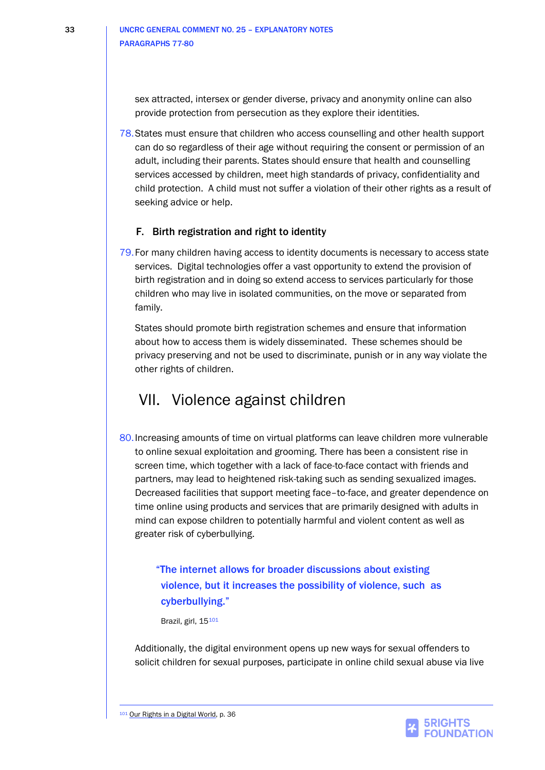sex attracted, intersex or gender diverse, privacy and anonymity online can also provide protection from persecution as they explore their identities.

78.States must ensure that children who access counselling and other health support can do so regardless of their age without requiring the consent or permission of an adult, including their parents. States should ensure that health and counselling services accessed by children, meet high standards of privacy, confidentiality and child protection. A child must not suffer a violation of their other rights as a result of seeking advice or help.

### F. Birth registration and right to identity

79.For many children having access to identity documents is necessary to access state services. Digital technologies offer a vast opportunity to extend the provision of birth registration and in doing so extend access to services particularly for those children who may live in isolated communities, on the move or separated from family.

States should promote birth registration schemes and ensure that information about how to access them is widely disseminated. These schemes should be privacy preserving and not be used to discriminate, punish or in any way violate the other rights of children.

## VII. Violence against children

80.Increasing amounts of time on virtual platforms can leave children more vulnerable to online sexual exploitation and grooming. There has been a consistent rise in screen time, which together with a lack of face-to-face contact with friends and partners, may lead to heightened risk-taking such as sending sexualized images. Decreased facilities that support meeting face–to-face, and greater dependence on time online using products and services that are primarily designed with adults in mind can expose children to potentially harmful and violent content as well as greater risk of cyberbullying.

"The internet allows for broader discussions about existing violence, but it increases the possibility of violence, such as cyberbullying."

Brazil, girl, 15101

Additionally, the digital environment opens up new ways for sexual offenders to solicit children for sexual purposes, participate in online child sexual abuse via live

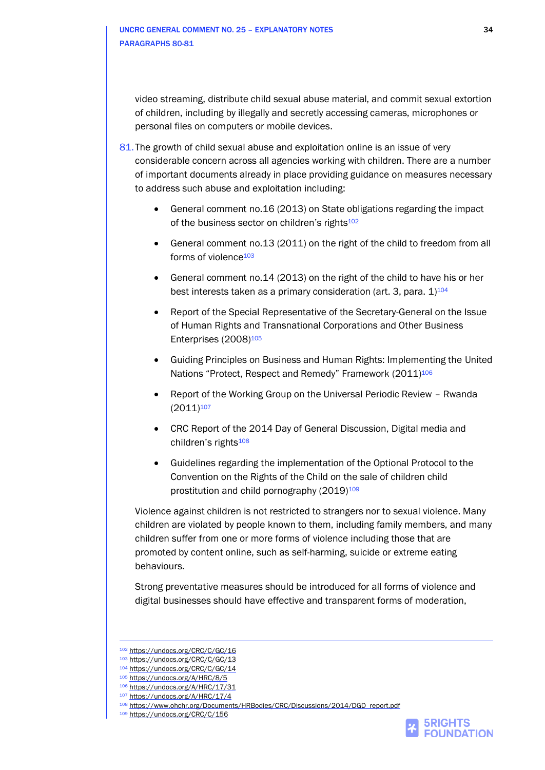video streaming, distribute child sexual abuse material, and commit sexual extortion of children, including by illegally and secretly accessing cameras, microphones or personal files on computers or mobile devices.

- 81. The growth of child sexual abuse and exploitation online is an issue of very considerable concern across all agencies working with children. There are a number of important documents already in place providing guidance on measures necessary to address such abuse and exploitation including:
	- General comment no.16 (2013) on State obligations regarding the impact of the business sector on children's rights<sup>102</sup>
	- General comment no.13 (2011) on the right of the child to freedom from all forms of violence<sup>103</sup>
	- General comment no.14 (2013) on the right of the child to have his or her best interests taken as a primary consideration (art. 3, para.  $1)^{104}$
	- Report of the Special Representative of the Secretary-General on the Issue of Human Rights and Transnational Corporations and Other Business Enterprises (2008)<sup>105</sup>
	- Guiding Principles on Business and Human Rights: Implementing the United Nations "Protect, Respect and Remedy" Framework (2011)<sup>106</sup>
	- Report of the Working Group on the Universal Periodic Review Rwanda  $(2011)^{107}$
	- CRC Report of the 2014 Day of General Discussion, Digital media and children's rights<sup>108</sup>
	- Guidelines regarding the implementation of the Optional Protocol to the Convention on the Rights of the Child on the sale of children child prostitution and child pornography (2019)<sup>109</sup>

Violence against children is not restricted to strangers nor to sexual violence. Many children are violated by people known to them, including family members, and many children suffer from one or more forms of violence including those that are promoted by content online, such as self-harming, suicide or extreme eating behaviours.

Strong preventative measures should be introduced for all forms of violence and digital businesses should have effective and transparent forms of moderation,



<sup>102</sup> <https://undocs.org/CRC/C/GC/16>

<sup>103</sup> <https://undocs.org/CRC/C/GC/13>

<sup>104</sup> <https://undocs.org/CRC/C/GC/14>

<sup>105</sup> <https://undocs.org/A/HRC/8/5>

<sup>106</sup> <https://undocs.org/A/HRC/17/31>

<sup>107</sup> <https://undocs.org/A/HRC/17/4>

<sup>108</sup> [https://www.ohchr.org/Documents/HRBodies/CRC/Discussions/2014/DGD\\_report.pdf](https://www.ohchr.org/Documents/HRBodies/CRC/Discussions/2014/DGD_report.pdf)

<sup>109</sup> <https://undocs.org/CRC/C/156>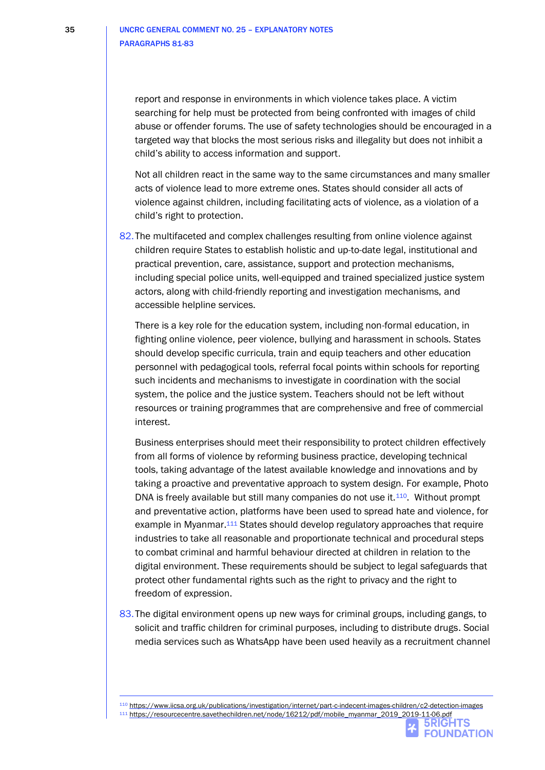report and response in environments in which violence takes place. A victim searching for help must be protected from being confronted with images of child abuse or offender forums. The use of safety technologies should be encouraged in a targeted way that blocks the most serious risks and illegality but does not inhibit a child's ability to access information and support.

Not all children react in the same way to the same circumstances and many smaller acts of violence lead to more extreme ones. States should consider all acts of violence against children, including facilitating acts of violence, as a violation of a child's right to protection.

82.The multifaceted and complex challenges resulting from online violence against children require States to establish holistic and up-to-date legal, institutional and practical prevention, care, assistance, support and protection mechanisms, including special police units, well-equipped and trained specialized justice system actors, along with child-friendly reporting and investigation mechanisms, and accessible helpline services.

There is a key role for the education system, including non-formal education, in fighting online violence, peer violence, bullying and harassment in schools. States should develop specific curricula, train and equip teachers and other education personnel with pedagogical tools, referral focal points within schools for reporting such incidents and mechanisms to investigate in coordination with the social system, the police and the justice system. Teachers should not be left without resources or training programmes that are comprehensive and free of commercial interest.

Business enterprises should meet their responsibility to protect children effectively from all forms of violence by reforming business practice, developing technical tools, taking advantage of the latest available knowledge and innovations and by taking a proactive and preventative approach to system design. For example, Photo DNA is freely available but still many companies do not use it.110. Without prompt and preventative action, platforms have been used to spread hate and violence, for example in Myanmar.<sup>111</sup> States should develop regulatory approaches that require industries to take all reasonable and proportionate technical and procedural steps to combat criminal and harmful behaviour directed at children in relation to the digital environment. These requirements should be subject to legal safeguards that protect other fundamental rights such as the right to privacy and the right to freedom of expression.

83.The digital environment opens up new ways for criminal groups, including gangs, to solicit and traffic children for criminal purposes, including to distribute drugs. Social media services such as WhatsApp have been used heavily as a recruitment channel

<sup>110</sup> <https://www.iicsa.org.uk/publications/investigation/internet/part-c-indecent-images-children/c2-detection-images> <sup>111</sup> [https://resourcecentre.savethechildren.net/node/16212/pdf/mobile\\_myanmar\\_2019\\_2019-11-06.pdf](https://resourcecentre.savethechildren.net/node/16212/pdf/mobile_myanmar_2019_2019-11-06.pdf)

> **5RIGHTS FOUNDATION**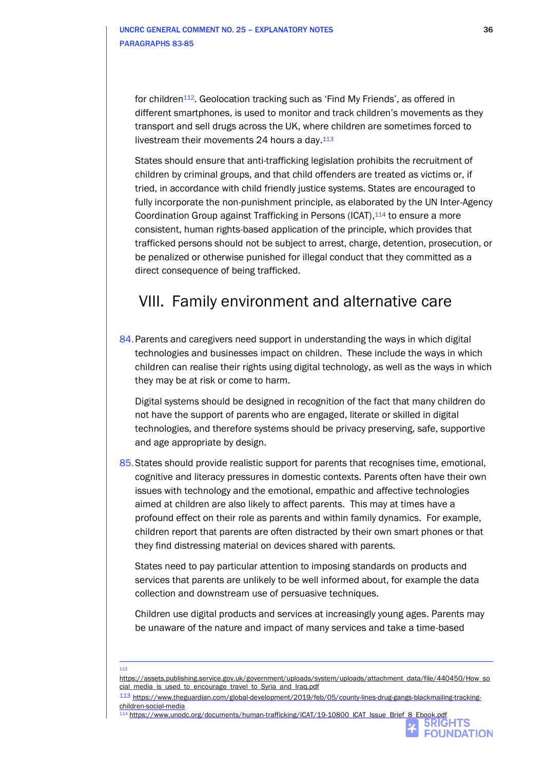for children<sup>112</sup>. Geolocation tracking such as 'Find My Friends', as offered in different smartphones, is used to monitor and track children's movements as they transport and sell drugs across the UK, where children are sometimes forced to livestream their movements 24 hours a day.<sup>113</sup>

States should ensure that anti-trafficking legislation prohibits the recruitment of children by criminal groups, and that child offenders are treated as victims or, if tried, in accordance with child friendly justice systems. States are encouraged to fully incorporate the non-punishment principle, as elaborated by the UN Inter-Agency Coordination Group against Trafficking in Persons (ICAT), 114 to ensure a more consistent, human rights-based application of the principle, which provides that trafficked persons should not be subject to arrest, charge, detention, prosecution, or be penalized or otherwise punished for illegal conduct that they committed as a direct consequence of being trafficked.

## VIII. Family environment and alternative care

84. Parents and caregivers need support in understanding the ways in which digital technologies and businesses impact on children. These include the ways in which children can realise their rights using digital technology, as well as the ways in which they may be at risk or come to harm.

Digital systems should be designed in recognition of the fact that many children do not have the support of parents who are engaged, literate or skilled in digital technologies, and therefore systems should be privacy preserving, safe, supportive and age appropriate by design.

85.States should provide realistic support for parents that recognises time, emotional, cognitive and literacy pressures in domestic contexts. Parents often have their own issues with technology and the emotional, empathic and affective technologies aimed at children are also likely to affect parents. This may at times have a profound effect on their role as parents and within family dynamics. For example, children report that parents are often distracted by their own smart phones or that they find distressing material on devices shared with parents.

States need to pay particular attention to imposing standards on products and services that parents are unlikely to be well informed about, for example the data collection and downstream use of persuasive techniques.

Children use digital products and services at increasingly young ages. Parents may be unaware of the nature and impact of many services and take a time-based

#### 112

114 [https://www.unodc.org/documents/human-trafficking/ICAT/19-10800\\_ICAT\\_Issue\\_Brief\\_8\\_Ebook.pdf](https://www.unodc.org/documents/human-trafficking/ICAT/19-10800_ICAT_Issue_Brief_8_Ebook.pdf)<br>**bRIGHTS** 



[https://assets.publishing.service.gov.uk/government/uploads/system/uploads/attachment\\_data/file/440450/How\\_so](https://assets.publishing.service.gov.uk/government/uploads/system/uploads/attachment_data/file/440450/How_social_media_is_used_to_encourage_travel_to_Syria_and_Iraq.pdf) cial media is used to encourage travel to Syria and Iraq.pdf

<sup>113</sup> [https://www.theguardian.com/global-development/2019/feb/05/county-lines-drug-gangs-blackmailing-tracking](https://www.theguardian.com/global-development/2019/feb/05/county-lines-drug-gangs-blackmailing-tracking-children-social-media)[children-social-media](https://www.theguardian.com/global-development/2019/feb/05/county-lines-drug-gangs-blackmailing-tracking-children-social-media)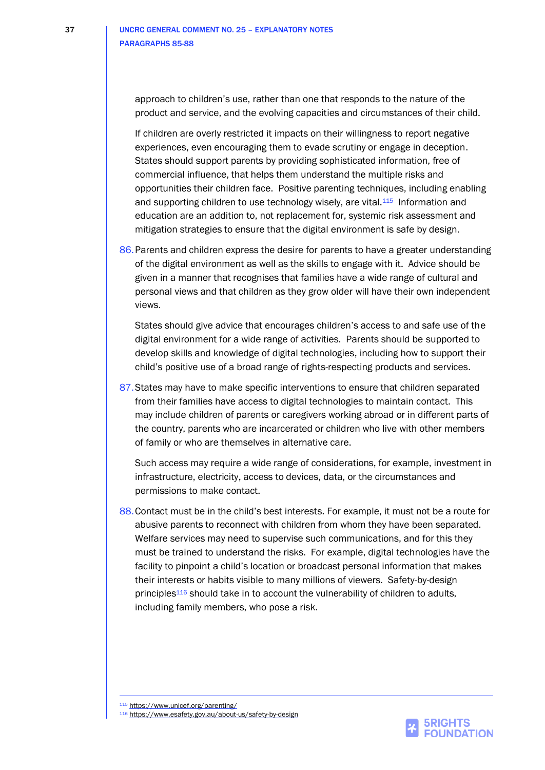approach to children's use, rather than one that responds to the nature of the product and service, and the evolving capacities and circumstances of their child.

If children are overly restricted it impacts on their willingness to report negative experiences, even encouraging them to evade scrutiny or engage in deception. States should support parents by providing sophisticated information, free of commercial influence, that helps them understand the multiple risks and opportunities their children face. Positive parenting techniques, including enabling and supporting children to use technology wisely, are vital.<sup>115</sup> Information and education are an addition to, not replacement for, systemic risk assessment and mitigation strategies to ensure that the digital environment is safe by design.

86. Parents and children express the desire for parents to have a greater understanding of the digital environment as well as the skills to engage with it. Advice should be given in a manner that recognises that families have a wide range of cultural and personal views and that children as they grow older will have their own independent views.

States should give advice that encourages children's access to and safe use of the digital environment for a wide range of activities. Parents should be supported to develop skills and knowledge of digital technologies, including how to support their child's positive use of a broad range of rights-respecting products and services.

87.States may have to make specific interventions to ensure that children separated from their families have access to digital technologies to maintain contact. This may include children of parents or caregivers working abroad or in different parts of the country, parents who are incarcerated or children who live with other members of family or who are themselves in alternative care.

Such access may require a wide range of considerations, for example, investment in infrastructure, electricity, access to devices, data, or the circumstances and permissions to make contact.

88.Contact must be in the child's best interests. For example, it must not be a route for abusive parents to reconnect with children from whom they have been separated. Welfare services may need to supervise such communications, and for this they must be trained to understand the risks. For example, digital technologies have the facility to pinpoint a child's location or broadcast personal information that makes their interests or habits visible to many millions of viewers. Safety-by-design principles<sup>116</sup> should take in to account the vulnerability of children to adults, including family members, who pose a risk.

<sup>115</sup> <https://www.unicef.org/parenting/>

<sup>116</sup> <https://www.esafety.gov.au/about-us/safety-by-design>

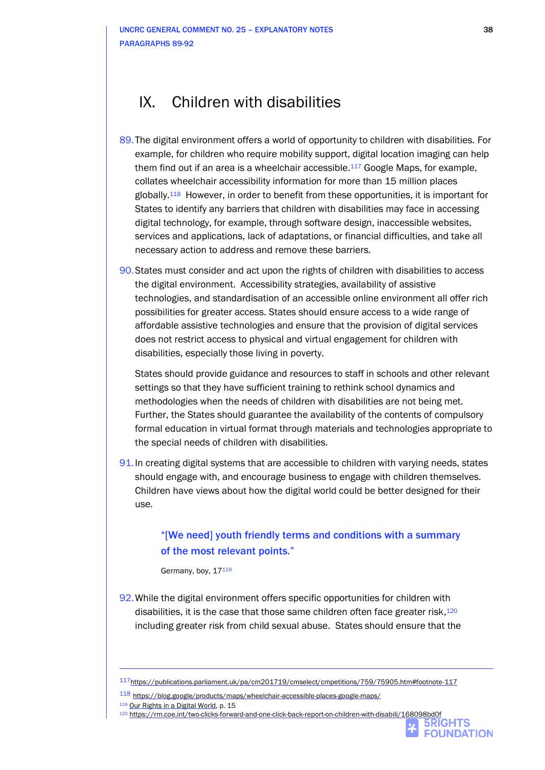## IX. Children with disabilities

- 89.The digital environment offers a world of opportunity to children with disabilities. For example, for children who require mobility support, digital location imaging can help them find out if an area is a wheelchair accessible.<sup>117</sup> Google Maps, for example, collates wheelchair accessibility information for more than 15 million places globally.118 However, in order to benefit from these opportunities, it is important for States to identify any barriers that children with disabilities may face in accessing digital technology, for example, through software design, inaccessible websites, services and applications, lack of adaptations, or financial difficulties, and take all necessary action to address and remove these barriers.
- 90.States must consider and act upon the rights of children with disabilities to access the digital environment. Accessibility strategies, availability of assistive technologies, and standardisation of an accessible online environment all offer rich possibilities for greater access. States should ensure access to a wide range of affordable assistive technologies and ensure that the provision of digital services does not restrict access to physical and virtual engagement for children with disabilities, especially those living in poverty.

States should provide guidance and resources to staff in schools and other relevant settings so that they have sufficient training to rethink school dynamics and methodologies when the needs of children with disabilities are not being met. Further, the States should guarantee the availability of the contents of compulsory formal education in virtual format through materials and technologies appropriate to the special needs of children with disabilities.

91.In creating digital systems that are accessible to children with varying needs, states should engage with, and encourage business to engage with children themselves. Children have views about how the digital world could be better designed for their use.

### "[We need] youth friendly terms and conditions with a summary of the most relevant points."

Germany, boy, 17119

92.While the digital environment offers specific opportunities for children with disabilities, it is the case that those same children often face greater risk,<sup>120</sup> including greater risk from child sexual abuse. States should ensure that the



<sup>117</sup><https://publications.parliament.uk/pa/cm201719/cmselect/cmpetitions/759/75905.htm#footnote-117>

<sup>118</sup> <https://blog.google/products/maps/wheelchair-accessible-places-google-maps/>

<sup>119</sup> [Our Rights in a Digital World,](https://5rightsfoundation.com/uploads/Our%20Rights%20in%20a%20Digital%20World.pdf) p. 15

<sup>120</sup> <https://rm.coe.int/two-clicks-forward-and-one-click-back-report-on-children-with-disabili/168098bd0f>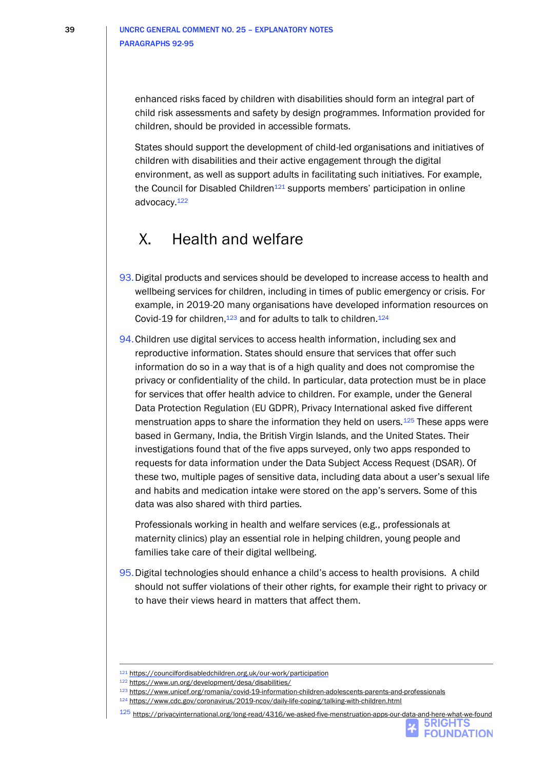enhanced risks faced by children with disabilities should form an integral part of child risk assessments and safety by design programmes. Information provided for children, should be provided in accessible formats.

States should support the development of child-led organisations and initiatives of children with disabilities and their active engagement through the digital environment, as well as support adults in facilitating such initiatives. For example, the Council for Disabled Children<sup>121</sup> supports members' participation in online advocacy.<sup>122</sup>

## X. Health and welfare

- 93.Digital products and services should be developed to increase access to health and wellbeing services for children, including in times of public emergency or crisis. For example, in 2019-20 many organisations have developed information resources on Covid-19 for children,<sup>123</sup> and for adults to talk to children.<sup>124</sup>
- 94.Children use digital services to access health information, including sex and reproductive information. States should ensure that services that offer such information do so in a way that is of a high quality and does not compromise the privacy or confidentiality of the child. In particular, data protection must be in place for services that offer health advice to children. For example, under the General Data Protection Regulation (EU GDPR), Privacy International asked five different menstruation apps to share the information they held on users.<sup>125</sup> These apps were based in Germany, India, the British Virgin Islands, and the United States. Their investigations found that of the five apps surveyed, only two apps responded to requests for data information under the Data Subject Access Request (DSAR). Of these two, multiple pages of sensitive data, including data about a user's sexual life and habits and medication intake were stored on the app's servers. Some of this data was also shared with third parties.

Professionals working in health and welfare services (e.g., professionals at maternity clinics) play an essential role in helping children, young people and families take care of their digital wellbeing.

95.Digital technologies should enhance a child's access to health provisions. A child should not suffer violations of their other rights, for example their right to privacy or to have their views heard in matters that affect them.

<sup>123</sup> <https://www.unicef.org/romania/covid-19-information-children-adolescents-parents-and-professionals>

<sup>121</sup> <https://councilfordisabledchildren.org.uk/our-work/participation>

<sup>122</sup> <https://www.un.org/development/desa/disabilities/>

<sup>124</sup> <https://www.cdc.gov/coronavirus/2019-ncov/daily-life-coping/talking-with-children.html>

<sup>125</sup> <https://privacyinternational.org/long-read/4316/we-asked-five-menstruation-apps-our-data-and-here-what-we-found>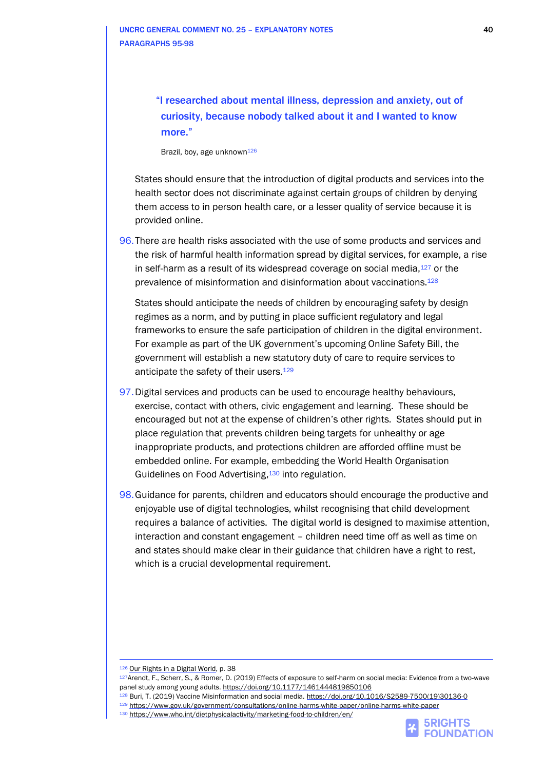"I researched about mental illness, depression and anxiety, out of curiosity, because nobody talked about it and I wanted to know more."

Brazil, boy, age unknown<sup>126</sup>

States should ensure that the introduction of digital products and services into the health sector does not discriminate against certain groups of children by denying them access to in person health care, or a lesser quality of service because it is provided online.

96.There are health risks associated with the use of some products and services and the risk of harmful health information spread by digital services, for example, a rise in self-harm as a result of its widespread coverage on social media,<sup>127</sup> or the prevalence of misinformation and disinformation about vaccinations.<sup>128</sup>

States should anticipate the needs of children by encouraging safety by design regimes as a norm, and by putting in place sufficient regulatory and legal frameworks to ensure the safe participation of children in the digital environment. For example as part of the UK government's upcoming Online Safety Bill, the government will establish a new statutory duty of care to require services to anticipate the safety of their users.<sup>129</sup>

- 97.Digital services and products can be used to encourage healthy behaviours, exercise, contact with others, civic engagement and learning. These should be encouraged but not at the expense of children's other rights. States should put in place regulation that prevents children being targets for unhealthy or age inappropriate products, and protections children are afforded offline must be embedded online. For example, embedding the World Health Organisation Guidelines on Food Advertising,<sup>130</sup> into regulation.
- 98.Guidance for parents, children and educators should encourage the productive and enjoyable use of digital technologies, whilst recognising that child development requires a balance of activities. The digital world is designed to maximise attention, interaction and constant engagement – children need time off as well as time on and states should make clear in their guidance that children have a right to rest, which is a crucial developmental requirement.

128 Buri, T. (2019) Vaccine Misinformation and social media. [https://doi.org/10.1016/S2589-7500\(19\)30136-0](https://doi.org/10.1016/S2589-7500(19)30136-0)



<sup>126</sup> [Our Rights in a Digital World,](https://5rightsfoundation.com/uploads/Our%20Rights%20in%20a%20Digital%20World.pdf) p. 38

<sup>127</sup>Arendt, F., Scherr, S., & Romer, D. (2019) Effects of exposure to self-harm on social media: Evidence from a two-wave panel study among young adults[. https://doi.org/10.1177/1461444819850106](https://doi.org/10.1177/1461444819850106)

<sup>129</sup> <https://www.gov.uk/government/consultations/online-harms-white-paper/online-harms-white-paper>

<sup>130</sup> <https://www.who.int/dietphysicalactivity/marketing-food-to-children/en/>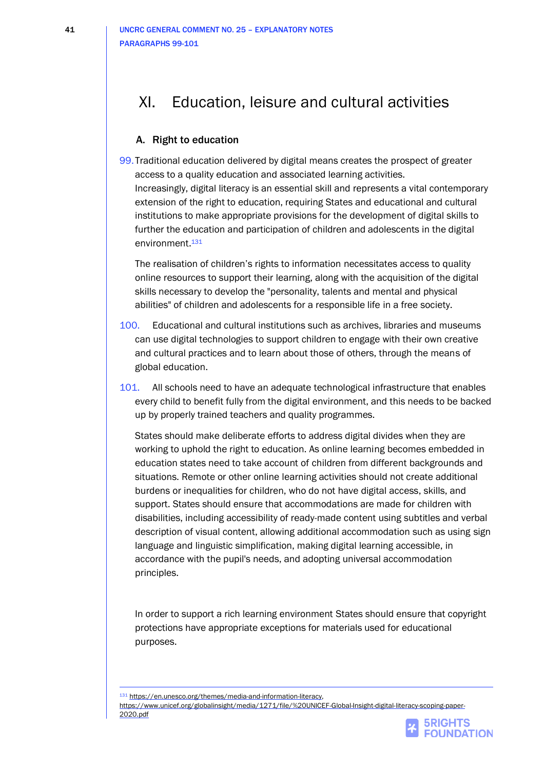## XI. Education, leisure and cultural activities

### A. Right to education

99.Traditional education delivered by digital means creates the prospect of greater access to a quality education and associated learning activities. Increasingly, digital literacy is an essential skill and represents a vital contemporary extension of the right to education, requiring States and educational and cultural institutions to make appropriate provisions for the development of digital skills to further the education and participation of children and adolescents in the digital environment. 131

The realisation of children's rights to information necessitates access to quality online resources to support their learning, along with the acquisition of the digital skills necessary to develop the "personality, talents and mental and physical abilities" of children and adolescents for a responsible life in a free society.

- 100. Educational and cultural institutions such as archives, libraries and museums can use digital technologies to support children to engage with their own creative and cultural practices and to learn about those of others, through the means of global education.
- 101. All schools need to have an adequate technological infrastructure that enables every child to benefit fully from the digital environment, and this needs to be backed up by properly trained teachers and quality programmes.

States should make deliberate efforts to address digital divides when they are working to uphold the right to education. As online learning becomes embedded in education states need to take account of children from different backgrounds and situations. Remote or other online learning activities should not create additional burdens or inequalities for children, who do not have digital access, skills, and support. States should ensure that accommodations are made for children with disabilities, including accessibility of ready-made content using subtitles and verbal description of visual content, allowing additional accommodation such as using sign language and linguistic simplification, making digital learning accessible, in accordance with the pupil's needs, and adopting universal accommodation principles.

In order to support a rich learning environment States should ensure that copyright protections have appropriate exceptions for materials used for educational purposes.

131 [https://en.unesco.org/themes/media-and-information-literacy,](https://en.unesco.org/themes/media-and-information-literacy)



[https://www.unicef.org/globalinsight/media/1271/file/%20UNICEF-Global-Insight-digital-literacy-scoping-paper-](https://www.unicef.org/globalinsight/media/1271/file/%20UNICEF-Global-Insight-digital-literacy-scoping-paper-2020.pdf)[2020.pdf](https://www.unicef.org/globalinsight/media/1271/file/%20UNICEF-Global-Insight-digital-literacy-scoping-paper-2020.pdf)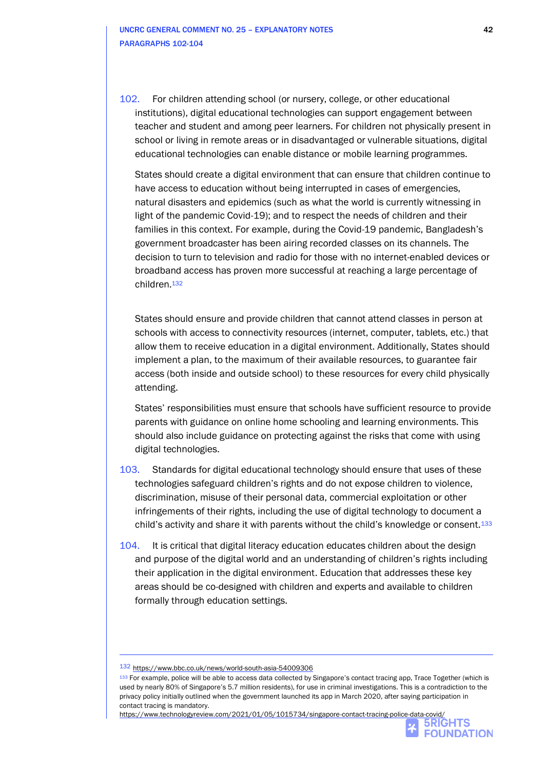102. For children attending school (or nursery, college, or other educational institutions), digital educational technologies can support engagement between teacher and student and among peer learners. For children not physically present in school or living in remote areas or in disadvantaged or vulnerable situations, digital educational technologies can enable distance or mobile learning programmes.

States should create a digital environment that can ensure that children continue to have access to education without being interrupted in cases of emergencies, natural disasters and epidemics (such as what the world is currently witnessing in light of the pandemic Covid-19); and to respect the needs of children and their families in this context. For example, during the Covid-19 pandemic, Bangladesh's government broadcaster has been airing recorded classes on its channels. The decision to turn to television and radio for those with no internet-enabled devices or broadband access has proven more successful at reaching a large percentage of children.<sup>132</sup>

States should ensure and provide children that cannot attend classes in person at schools with access to connectivity resources (internet, computer, tablets, etc.) that allow them to receive education in a digital environment. Additionally, States should implement a plan, to the maximum of their available resources, to guarantee fair access (both inside and outside school) to these resources for every child physically attending.

States' responsibilities must ensure that schools have sufficient resource to provide parents with guidance on online home schooling and learning environments. This should also include guidance on protecting against the risks that come with using digital technologies.

- 103. Standards for digital educational technology should ensure that uses of these technologies safeguard children's rights and do not expose children to violence, discrimination, misuse of their personal data, commercial exploitation or other infringements of their rights, including the use of digital technology to document a child's activity and share it with parents without the child's knowledge or consent.<sup>133</sup>
- 104. It is critical that digital literacy education educates children about the design and purpose of the digital world and an understanding of children's rights including their application in the digital environment. Education that addresses these key areas should be co-designed with children and experts and available to children formally through education settings.

<https://www.technologyreview.com/2021/01/05/1015734/singapore-contact-tracing-police-data-covid/>



<sup>132</sup> <https://www.bbc.co.uk/news/world-south-asia-54009306>

<sup>133</sup> For example, police will be able to access data collected by Singapore's contact tracing app, Trace Together (which is used by nearly 80% of Singapore's 5.7 million residents), for use in criminal investigations. This is a contradiction to the privacy policy initially outlined when the government launched its app in March 2020, after saying participation in contact tracing is mandatory.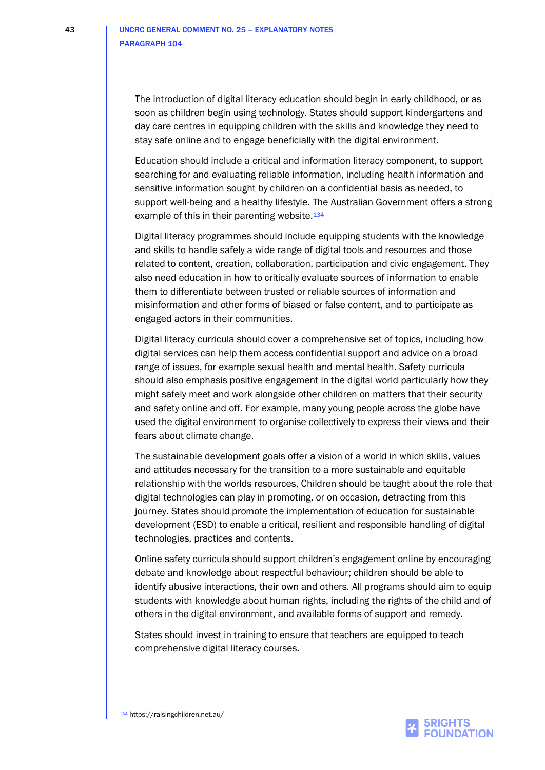The introduction of digital literacy education should begin in early childhood, or as soon as children begin using technology. States should support kindergartens and day care centres in equipping children with the skills and knowledge they need to stay safe online and to engage beneficially with the digital environment.

Education should include a critical and information literacy component, to support searching for and evaluating reliable information, including health information and sensitive information sought by children on a confidential basis as needed, to support well-being and a healthy lifestyle. The Australian Government offers a strong example of this in their parenting website.<sup>134</sup>

Digital literacy programmes should include equipping students with the knowledge and skills to handle safely a wide range of digital tools and resources and those related to content, creation, collaboration, participation and civic engagement. They also need education in how to critically evaluate sources of information to enable them to differentiate between trusted or reliable sources of information and misinformation and other forms of biased or false content, and to participate as engaged actors in their communities.

Digital literacy curricula should cover a comprehensive set of topics, including how digital services can help them access confidential support and advice on a broad range of issues, for example sexual health and mental health. Safety curricula should also emphasis positive engagement in the digital world particularly how they might safely meet and work alongside other children on matters that their security and safety online and off. For example, many young people across the globe have used the digital environment to organise collectively to express their views and their fears about climate change.

The sustainable development goals offer a vision of a world in which skills, values and attitudes necessary for the transition to a more sustainable and equitable relationship with the worlds resources, Children should be taught about the role that digital technologies can play in promoting, or on occasion, detracting from this journey. States should promote the implementation of education for sustainable development (ESD) to enable a critical, resilient and responsible handling of digital technologies, practices and contents.

Online safety curricula should support children's engagement online by encouraging debate and knowledge about respectful behaviour; children should be able to identify abusive interactions, their own and others. All programs should aim to equip students with knowledge about human rights, including the rights of the child and of others in the digital environment, and available forms of support and remedy.

States should invest in training to ensure that teachers are equipped to teach comprehensive digital literacy courses.

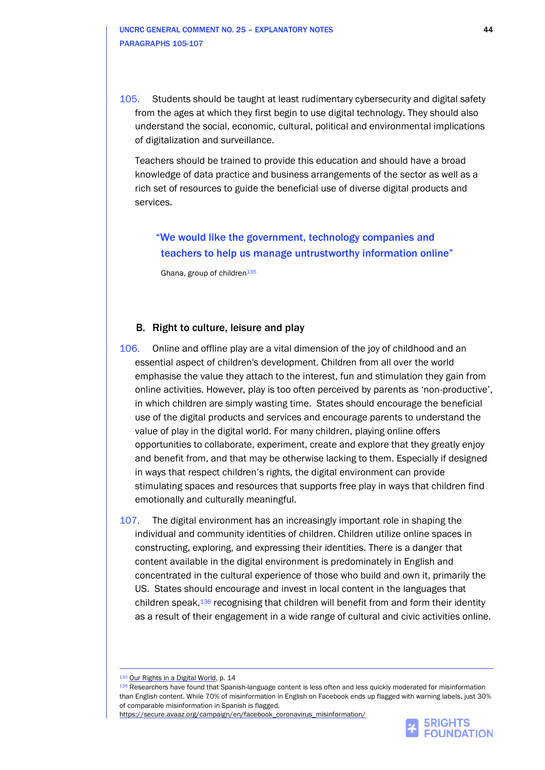105. Students should be taught at least rudimentary cybersecurity and digital safety from the ages at which they first begin to use digital technology. They should also understand the social, economic, cultural, political and environmental implications of digitalization and surveillance.

Teachers should be trained to provide this education and should have a broad knowledge of data practice and business arrangements of the sector as well as a rich set of resources to guide the beneficial use of diverse digital products and services.

"We would like the government, technology companies and teachers to help us manage untrustworthy information online"

Ghana, group of children<sup>135</sup>

#### B. Right to culture, leisure and play

- 106. Online and offline play are a vital dimension of the joy of childhood and an essential aspect of children's development. Children from all over the world emphasise the value they attach to the interest, fun and stimulation they gain from online activities. However, play is too often perceived by parents as 'non-productive', in which children are simply wasting time. States should encourage the beneficial use of the digital products and services and encourage parents to understand the value of play in the digital world. For many children, playing online offers opportunities to collaborate, experiment, create and explore that they greatly enjoy and benefit from, and that may be otherwise lacking to them. Especially if designed in ways that respect children's rights, the digital environment can provide stimulating spaces and resources that supports free play in ways that children find emotionally and culturally meaningful.
- 107. The digital environment has an increasingly important role in shaping the individual and community identities of children. Children utilize online spaces in constructing, exploring, and expressing their identities. There is a danger that content available in the digital environment is predominately in English and concentrated in the cultural experience of those who build and own it, primarily the US. States should encourage and invest in local content in the languages that children speak,<sup>136</sup> recognising that children will benefit from and form their identity as a result of their engagement in a wide range of cultural and civic activities online.

[https://secure.avaaz.org/campaign/en/facebook\\_coronavirus\\_misinformation/](https://secure.avaaz.org/campaign/en/facebook_coronavirus_misinformation/)



<sup>135</sup> [Our Rights in a Digital World,](https://5rightsfoundation.com/uploads/Our%20Rights%20in%20a%20Digital%20World.pdf) p. 14

<sup>136</sup> Researchers have found that Spanish-language content is less often and less quickly moderated for misinformation than English content. While 70% of misinformation in English on Facebook ends up flagged with warning labels, just 30% of comparable misinformation in Spanish is flagged.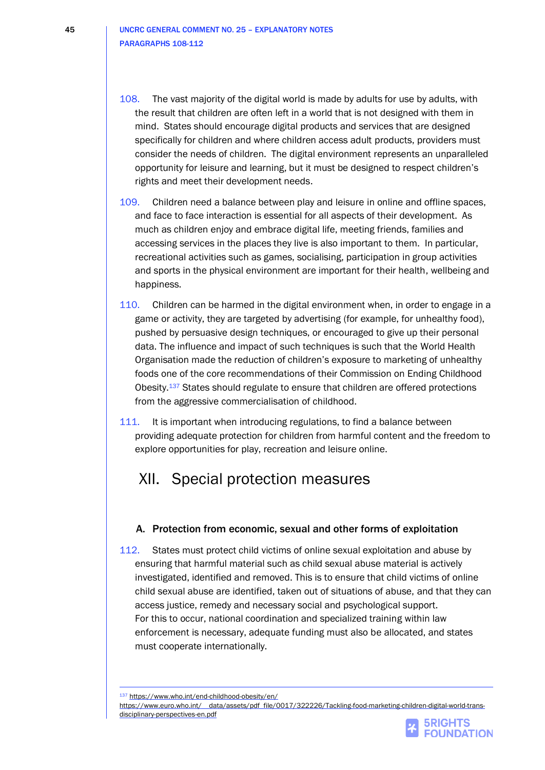45 UNCRC GENERAL COMMENT NO. 25 – EXPLANATORY NOTES PARAGRAPHS 108-112

- 108. The vast majority of the digital world is made by adults for use by adults, with the result that children are often left in a world that is not designed with them in mind. States should encourage digital products and services that are designed specifically for children and where children access adult products, providers must consider the needs of children. The digital environment represents an unparalleled opportunity for leisure and learning, but it must be designed to respect children's rights and meet their development needs.
- 109. Children need a balance between play and leisure in online and offline spaces, and face to face interaction is essential for all aspects of their development. As much as children enjoy and embrace digital life, meeting friends, families and accessing services in the places they live is also important to them. In particular, recreational activities such as games, socialising, participation in group activities and sports in the physical environment are important for their health, wellbeing and happiness.
- 110. Children can be harmed in the digital environment when, in order to engage in a game or activity, they are targeted by advertising (for example, for unhealthy food), pushed by persuasive design techniques, or encouraged to give up their personal data. The influence and impact of such techniques is such that the World Health Organisation made the reduction of children's exposure to marketing of unhealthy foods one of the core recommendations of their Commission on Ending Childhood Obesity.<sup>137</sup> States should regulate to ensure that children are offered protections from the aggressive commercialisation of childhood.
- 111. It is important when introducing regulations, to find a balance between providing adequate protection for children from harmful content and the freedom to explore opportunities for play, recreation and leisure online.

## XII. Special protection measures

### A. Protection from economic, sexual and other forms of exploitation

112. States must protect child victims of online sexual exploitation and abuse by ensuring that harmful material such as child sexual abuse material is actively investigated, identified and removed. This is to ensure that child victims of online child sexual abuse are identified, taken out of situations of abuse, and that they can access justice, remedy and necessary social and psychological support. For this to occur, national coordination and specialized training within law enforcement is necessary, adequate funding must also be allocated, and states must cooperate internationally.

137 <https://www.who.int/end-childhood-obesity/en/>



[https://www.euro.who.int/\\_\\_data/assets/pdf\\_file/0017/322226/Tackling-food-marketing-children-digital-world-trans](https://www.euro.who.int/__data/assets/pdf_file/0017/322226/Tackling-food-marketing-children-digital-world-trans-disciplinary-perspectives-en.pdf)[disciplinary-perspectives-en.pdf](https://www.euro.who.int/__data/assets/pdf_file/0017/322226/Tackling-food-marketing-children-digital-world-trans-disciplinary-perspectives-en.pdf)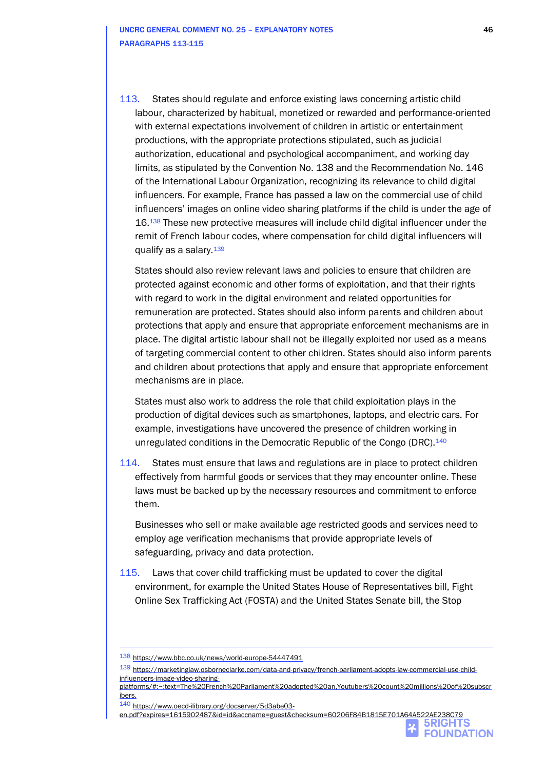113. States should regulate and enforce existing laws concerning artistic child labour, characterized by habitual, monetized or rewarded and performance-oriented with external expectations involvement of children in artistic or entertainment productions, with the appropriate protections stipulated, such as judicial authorization, educational and psychological accompaniment, and working day limits, as stipulated by the Convention No. 138 and the Recommendation No. 146 of the International Labour Organization, recognizing its relevance to child digital influencers. For example, France has passed a law on the commercial use of child influencers' images on online video sharing platforms if the child is under the age of 16.<sup>138</sup> These new protective measures will include child digital influencer under the remit of French labour codes, where compensation for child digital influencers will qualify as a salary.<sup>139</sup>

States should also review relevant laws and policies to ensure that children are protected against economic and other forms of exploitation, and that their rights with regard to work in the digital environment and related opportunities for remuneration are protected. States should also inform parents and children about protections that apply and ensure that appropriate enforcement mechanisms are in place. The digital artistic labour shall not be illegally exploited nor used as a means of targeting commercial content to other children. States should also inform parents and children about protections that apply and ensure that appropriate enforcement mechanisms are in place.

States must also work to address the role that child exploitation plays in the production of digital devices such as smartphones, laptops, and electric cars. For example, investigations have uncovered the presence of children working in unregulated conditions in the Democratic Republic of the Congo (DRC).<sup>140</sup>

114. States must ensure that laws and regulations are in place to protect children effectively from harmful goods or services that they may encounter online. These laws must be backed up by the necessary resources and commitment to enforce them.

Businesses who sell or make available age restricted goods and services need to employ age verification mechanisms that provide appropriate levels of safeguarding, privacy and data protection.

115. Laws that cover child trafficking must be updated to cover the digital environment, for example the United States House of Representatives bill, Fight Online Sex Trafficking Act (FOSTA) and the United States Senate bill, the Stop

**FOUNDATION** 

<sup>138</sup> <https://www.bbc.co.uk/news/world-europe-54447491>

<sup>139</sup> [https://marketinglaw.osborneclarke.com/data-and-privacy/french-parliament-adopts-law-commercial-use-child](https://marketinglaw.osborneclarke.com/data-and-privacy/french-parliament-adopts-law-commercial-use-child-influencers-image-video-sharing-platforms/#:~:text=The%20French%20Parliament%20adopted%20an,Youtubers%20count%20millions%20of%20subscribers.)[influencers-image-video-sharing-](https://marketinglaw.osborneclarke.com/data-and-privacy/french-parliament-adopts-law-commercial-use-child-influencers-image-video-sharing-platforms/#:~:text=The%20French%20Parliament%20adopted%20an,Youtubers%20count%20millions%20of%20subscribers.)

[platforms/#:~:text=The%20French%20Parliament%20adopted%20an,Youtubers%20count%20millions%20of%20subscr](https://marketinglaw.osborneclarke.com/data-and-privacy/french-parliament-adopts-law-commercial-use-child-influencers-image-video-sharing-platforms/#:~:text=The%20French%20Parliament%20adopted%20an,Youtubers%20count%20millions%20of%20subscribers.) [ibers.](https://marketinglaw.osborneclarke.com/data-and-privacy/french-parliament-adopts-law-commercial-use-child-influencers-image-video-sharing-platforms/#:~:text=The%20French%20Parliament%20adopted%20an,Youtubers%20count%20millions%20of%20subscribers.)

<sup>140</sup> [https://www.oecd-ilibrary.org/docserver/5d3abe03-](https://www.oecd-ilibrary.org/docserver/5d3abe03-en.pdf?expires=1615902487&id=id&accname=guest&checksum=60206F84B1815E701A64A522AE238C79)

[en.pdf?expires=1615902487&id=id&accname=guest&checksum=60206F84B1815E701A64A522AE238C79](https://www.oecd-ilibrary.org/docserver/5d3abe03-en.pdf?expires=1615902487&id=id&accname=guest&checksum=60206F84B1815E701A64A522AE238C79)**5RIGHTS**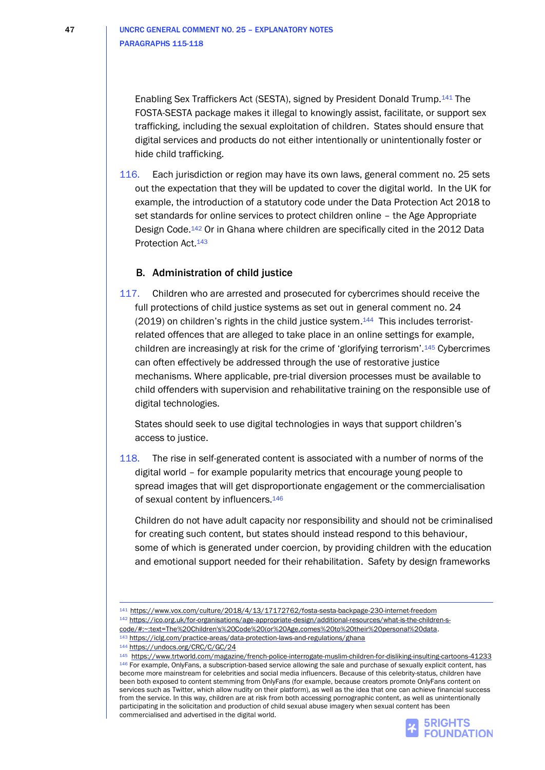Enabling Sex Traffickers Act (SESTA), signed by President Donald Trump.<sup>141</sup> The FOSTA-SESTA package makes it illegal to knowingly assist, facilitate, or support sex trafficking, including the sexual exploitation of children. States should ensure that digital services and products do not either intentionally or unintentionally foster or hide child trafficking.

116. Each jurisdiction or region may have its own laws, general comment no. 25 sets out the expectation that they will be updated to cover the digital world. In the UK for example, the introduction of a statutory code under the Data Protection Act 2018 to set standards for online services to protect children online – the Age Appropriate Design Code.<sup>142</sup> Or in Ghana where children are specifically cited in the 2012 Data Protection Act.<sup>143</sup>

### B. Administration of child justice

117. Children who are arrested and prosecuted for cybercrimes should receive the full protections of child justice systems as set out in general comment no. 24 (2019) on children's rights in the child justice system.<sup>144</sup> This includes terroristrelated offences that are alleged to take place in an online settings for example, children are increasingly at risk for the crime of 'glorifying terrorism'.<sup>145</sup> Cybercrimes can often effectively be addressed through the use of restorative justice mechanisms. Where applicable, pre-trial diversion processes must be available to child offenders with supervision and rehabilitative training on the responsible use of digital technologies.

States should seek to use digital technologies in ways that support children's access to justice.

118. The rise in self-generated content is associated with a number of norms of the digital world – for example popularity metrics that encourage young people to spread images that will get disproportionate engagement or the commercialisation of sexual content by influencers.<sup>146</sup>

Children do not have adult capacity nor responsibility and should not be criminalised for creating such content, but states should instead respond to this behaviour, some of which is generated under coercion, by providing children with the education and emotional support needed for their rehabilitation. Safety by design frameworks

<sup>142</sup> [https://ico.org.uk/for-organisations/age-appropriate-design/additional-resources/what-is-the-children-s](https://ico.org.uk/for-organisations/age-appropriate-design/additional-resources/what-is-the-children-s-code/#:~:text=The%20Children)[code/#:~:text=The%20Children's%20Code%20\(or%20Age,comes%20to%20their%20personal%20data.](https://ico.org.uk/for-organisations/age-appropriate-design/additional-resources/what-is-the-children-s-code/#:~:text=The%20Children)

<sup>143</sup> <https://iclg.com/practice-areas/data-protection-laws-and-regulations/ghana>

<sup>144</sup> <https://undocs.org/CRC/C/GC/24>

<sup>145</sup><https://www.trtworld.com/magazine/french-police-interrogate-muslim-children-for-disliking-insulting-cartoons-41233> 146 For example, OnlyFans, a subscription-based service allowing the sale and purchase of sexually explicit content, has become more mainstream for celebrities and social media influencers. Because of this celebrity-status, children have been both exposed to content stemming from OnlyFans (for example, because creators promote OnlyFans content on services such as Twitter, which allow nudity on their platform), as well as the idea that one can achieve financial success from the service. In this way, children are at risk from both accessing pornographic content, as well as unintentionally participating in the solicitation and production of child sexual abuse imagery when sexual content has been commercialised and advertised in the digital world.



<sup>141</sup> <https://www.vox.com/culture/2018/4/13/17172762/fosta-sesta-backpage-230-internet-freedom>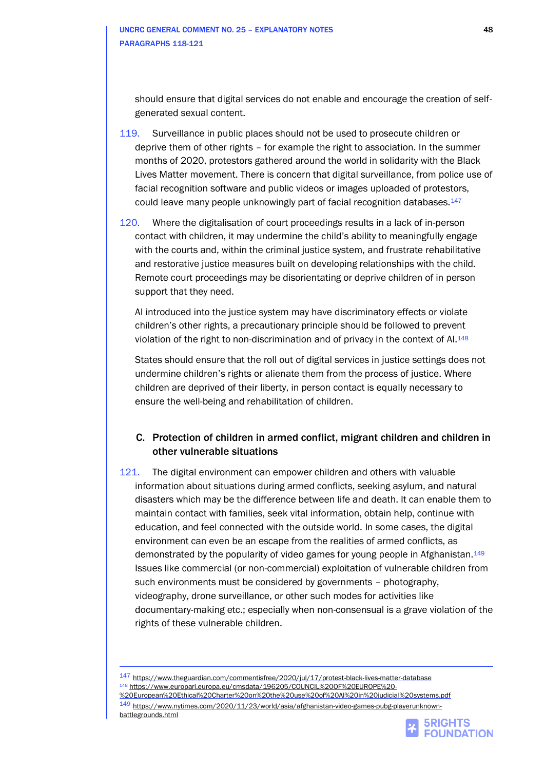should ensure that digital services do not enable and encourage the creation of selfgenerated sexual content.

- 119. Surveillance in public places should not be used to prosecute children or deprive them of other rights – for example the right to association. In the summer months of 2020, protestors gathered around the world in solidarity with the Black Lives Matter movement. There is concern that digital surveillance, from police use of facial recognition software and public videos or images uploaded of protestors, could leave many people unknowingly part of facial recognition databases.<sup>147</sup>
- 120. Where the digitalisation of court proceedings results in a lack of in-person contact with children, it may undermine the child's ability to meaningfully engage with the courts and, within the criminal justice system, and frustrate rehabilitative and restorative justice measures built on developing relationships with the child. Remote court proceedings may be disorientating or deprive children of in person support that they need.

AI introduced into the justice system may have discriminatory effects or violate children's other rights, a precautionary principle should be followed to prevent violation of the right to non-discrimination and of privacy in the context of AI.<sup>148</sup>

States should ensure that the roll out of digital services in justice settings does not undermine children's rights or alienate them from the process of justice. Where children are deprived of their liberty, in person contact is equally necessary to ensure the well-being and rehabilitation of children.

## C. Protection of children in armed conflict, migrant children and children in other vulnerable situations

121. The digital environment can empower children and others with valuable information about situations during armed conflicts, seeking asylum, and natural disasters which may be the difference between life and death. It can enable them to maintain contact with families, seek vital information, obtain help, continue with education, and feel connected with the outside world. In some cases, the digital environment can even be an escape from the realities of armed conflicts, as demonstrated by the popularity of video games for young people in Afghanistan.<sup>149</sup> Issues like commercial (or non-commercial) exploitation of vulnerable children from such environments must be considered by governments – photography, videography, drone surveillance, or other such modes for activities like documentary-making etc.; especially when non-consensual is a grave violation of the rights of these vulnerable children.

147 <https://www.theguardian.com/commentisfree/2020/jul/17/protest-black-lives-matter-database> <sup>148</sup> [https://www.europarl.europa.eu/cmsdata/196205/COUNCIL%20OF%20EUROPE%20-](https://www.europarl.europa.eu/cmsdata/196205/COUNCIL%20OF%20EUROPE%20-%20European%20Ethical%20Charter%20on%20the%20use%20of%20AI%20in%20judicial%20systems.pdf) [%20European%20Ethical%20Charter%20on%20the%20use%20of%20AI%20in%20judicial%20systems.pdf](https://www.europarl.europa.eu/cmsdata/196205/COUNCIL%20OF%20EUROPE%20-%20European%20Ethical%20Charter%20on%20the%20use%20of%20AI%20in%20judicial%20systems.pdf) 149 [https://www.nytimes.com/2020/11/23/world/asia/afghanistan-video-games-pubg-playerunknown](https://www.nytimes.com/2020/11/23/world/asia/afghanistan-video-games-pubg-playerunknown-battlegrounds.html)[battlegrounds.html](https://www.nytimes.com/2020/11/23/world/asia/afghanistan-video-games-pubg-playerunknown-battlegrounds.html)

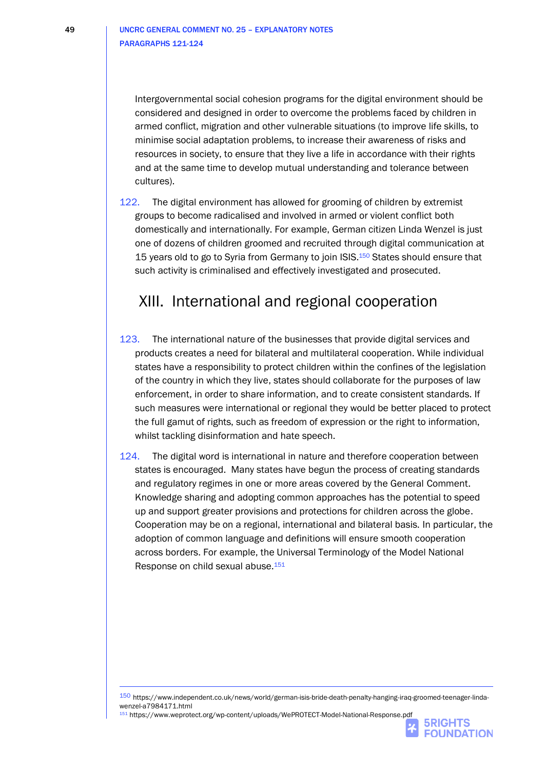Intergovernmental social cohesion programs for the digital environment should be considered and designed in order to overcome the problems faced by children in armed conflict, migration and other vulnerable situations (to improve life skills, to minimise social adaptation problems, to increase their awareness of risks and resources in society, to ensure that they live a life in accordance with their rights and at the same time to develop mutual understanding and tolerance between cultures).

122. The digital environment has allowed for grooming of children by extremist groups to become radicalised and involved in armed or violent conflict both domestically and internationally. For example, German citizen Linda Wenzel is just one of dozens of children groomed and recruited through digital communication at 15 years old to go to Syria from Germany to join ISIS.<sup>150</sup> States should ensure that such activity is criminalised and effectively investigated and prosecuted.

## XIII. International and regional cooperation

- 123. The international nature of the businesses that provide digital services and products creates a need for bilateral and multilateral cooperation. While individual states have a responsibility to protect children within the confines of the legislation of the country in which they live, states should collaborate for the purposes of law enforcement, in order to share information, and to create consistent standards. If such measures were international or regional they would be better placed to protect the full gamut of rights, such as freedom of expression or the right to information, whilst tackling disinformation and hate speech.
- 124. The digital word is international in nature and therefore cooperation between states is encouraged. Many states have begun the process of creating standards and regulatory regimes in one or more areas covered by the General Comment. Knowledge sharing and adopting common approaches has the potential to speed up and support greater provisions and protections for children across the globe. Cooperation may be on a regional, international and bilateral basis. In particular, the adoption of common language and definitions will ensure smooth cooperation across borders. For example, the Universal Terminology of the Model National Response on child sexual abuse.<sup>151</sup>

<sup>151</sup> https://www.weprotect.org/wp-content/uploads/WePROTECT-Model-National-Response.pdf



<sup>150</sup> https://www.independent.co.uk/news/world/german-isis-bride-death-penalty-hanging-iraq-groomed-teenager-lindawenzel-a7984171.html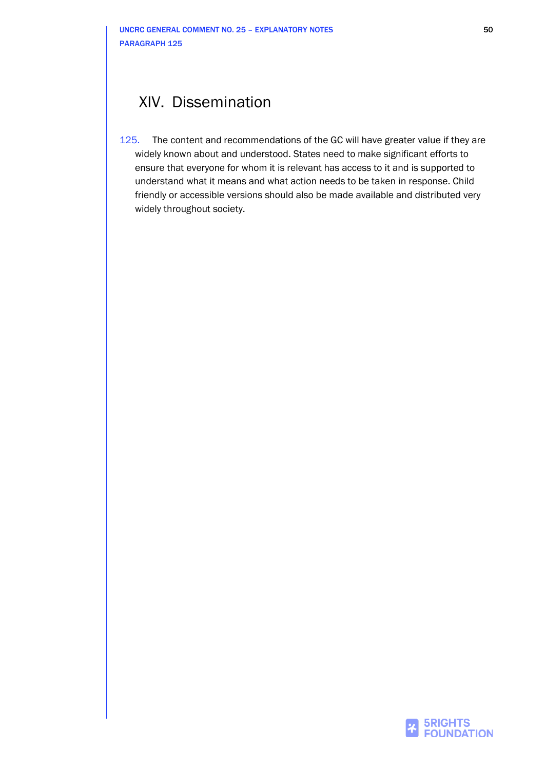## XIV. Dissemination

125. The content and recommendations of the GC will have greater value if they are widely known about and understood. States need to make significant efforts to ensure that everyone for whom it is relevant has access to it and is supported to understand what it means and what action needs to be taken in response. Child friendly or accessible versions should also be made available and distributed very widely throughout society.

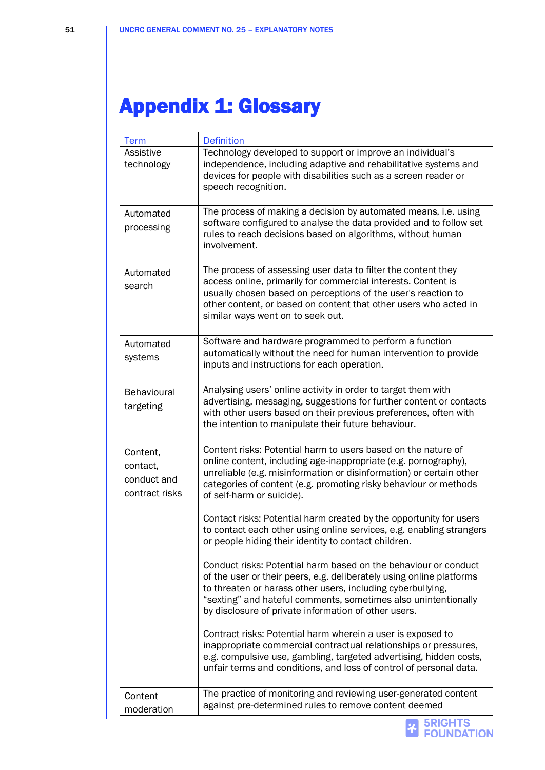# Appendix 1: Glossary

| <b>Term</b>                                           | <b>Definition</b>                                                                                                                                                                                                                                                                                                                |
|-------------------------------------------------------|----------------------------------------------------------------------------------------------------------------------------------------------------------------------------------------------------------------------------------------------------------------------------------------------------------------------------------|
| Assistive<br>technology                               | Technology developed to support or improve an individual's<br>independence, including adaptive and rehabilitative systems and<br>devices for people with disabilities such as a screen reader or<br>speech recognition.                                                                                                          |
| Automated<br>processing                               | The process of making a decision by automated means, i.e. using<br>software configured to analyse the data provided and to follow set<br>rules to reach decisions based on algorithms, without human<br>involvement.                                                                                                             |
| Automated<br>search                                   | The process of assessing user data to filter the content they<br>access online, primarily for commercial interests. Content is<br>usually chosen based on perceptions of the user's reaction to<br>other content, or based on content that other users who acted in<br>similar ways went on to seek out.                         |
| Automated<br>systems                                  | Software and hardware programmed to perform a function<br>automatically without the need for human intervention to provide<br>inputs and instructions for each operation.                                                                                                                                                        |
| Behavioural<br>targeting                              | Analysing users' online activity in order to target them with<br>advertising, messaging, suggestions for further content or contacts<br>with other users based on their previous preferences, often with<br>the intention to manipulate their future behaviour.                                                                  |
| Content,<br>contact,<br>conduct and<br>contract risks | Content risks: Potential harm to users based on the nature of<br>online content, including age-inappropriate (e.g. pornography),<br>unreliable (e.g. misinformation or disinformation) or certain other<br>categories of content (e.g. promoting risky behaviour or methods<br>of self-harm or suicide).                         |
|                                                       | Contact risks: Potential harm created by the opportunity for users<br>to contact each other using online services, e.g. enabling strangers<br>or people hiding their identity to contact children                                                                                                                                |
|                                                       | Conduct risks: Potential harm based on the behaviour or conduct<br>of the user or their peers, e.g. deliberately using online platforms<br>to threaten or harass other users, including cyberbullying,<br>"sexting" and hateful comments, sometimes also unintentionally<br>by disclosure of private information of other users. |
|                                                       | Contract risks: Potential harm wherein a user is exposed to<br>inappropriate commercial contractual relationships or pressures,<br>e.g. compulsive use, gambling, targeted advertising, hidden costs,<br>unfair terms and conditions, and loss of control of personal data.                                                      |
| Content<br>moderation                                 | The practice of monitoring and reviewing user-generated content<br>against pre-determined rules to remove content deemed                                                                                                                                                                                                         |
|                                                       | <b>5RIGHTS</b><br><b>FOUNDATION</b>                                                                                                                                                                                                                                                                                              |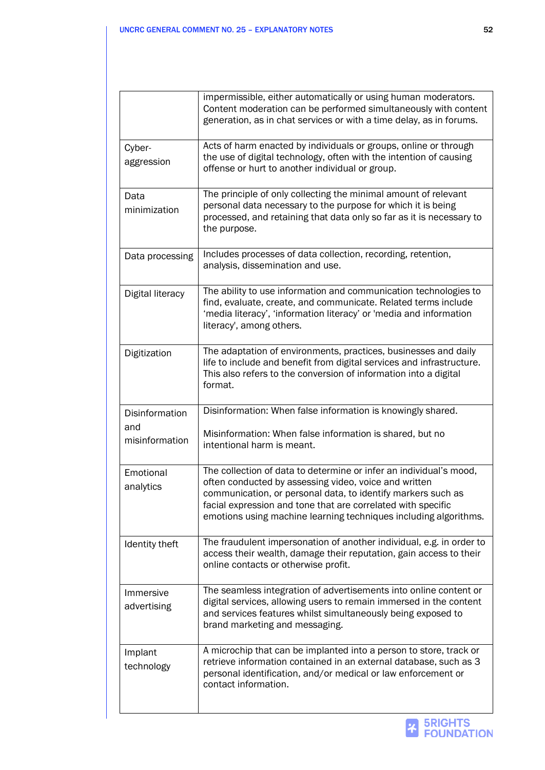|                          | impermissible, either automatically or using human moderators.<br>Content moderation can be performed simultaneously with content<br>generation, as in chat services or with a time delay, as in forums.                                                                                                                        |
|--------------------------|---------------------------------------------------------------------------------------------------------------------------------------------------------------------------------------------------------------------------------------------------------------------------------------------------------------------------------|
| Cyber-<br>aggression     | Acts of harm enacted by individuals or groups, online or through<br>the use of digital technology, often with the intention of causing<br>offense or hurt to another individual or group.                                                                                                                                       |
| Data<br>minimization     | The principle of only collecting the minimal amount of relevant<br>personal data necessary to the purpose for which it is being<br>processed, and retaining that data only so far as it is necessary to<br>the purpose.                                                                                                         |
| Data processing          | Includes processes of data collection, recording, retention,<br>analysis, dissemination and use.                                                                                                                                                                                                                                |
| Digital literacy         | The ability to use information and communication technologies to<br>find, evaluate, create, and communicate. Related terms include<br>'media literacy', 'information literacy' or 'media and information<br>literacy', among others.                                                                                            |
| Digitization             | The adaptation of environments, practices, businesses and daily<br>life to include and benefit from digital services and infrastructure.<br>This also refers to the conversion of information into a digital<br>format.                                                                                                         |
| Disinformation           | Disinformation: When false information is knowingly shared.                                                                                                                                                                                                                                                                     |
| and<br>misinformation    | Misinformation: When false information is shared, but no<br>intentional harm is meant.                                                                                                                                                                                                                                          |
| Emotional<br>analytics   | The collection of data to determine or infer an individual's mood,<br>often conducted by assessing video, voice and written<br>communication, or personal data, to identify markers such as<br>facial expression and tone that are correlated with specific<br>emotions using machine learning techniques including algorithms. |
| Identity theft           | The fraudulent impersonation of another individual, e.g. in order to<br>access their wealth, damage their reputation, gain access to their<br>online contacts or otherwise profit.                                                                                                                                              |
| Immersive<br>advertising | The seamless integration of advertisements into online content or<br>digital services, allowing users to remain immersed in the content<br>and services features whilst simultaneously being exposed to<br>brand marketing and messaging.                                                                                       |
| Implant<br>technology    | A microchip that can be implanted into a person to store, track or<br>retrieve information contained in an external database, such as 3<br>personal identification, and/or medical or law enforcement or<br>contact information.                                                                                                |

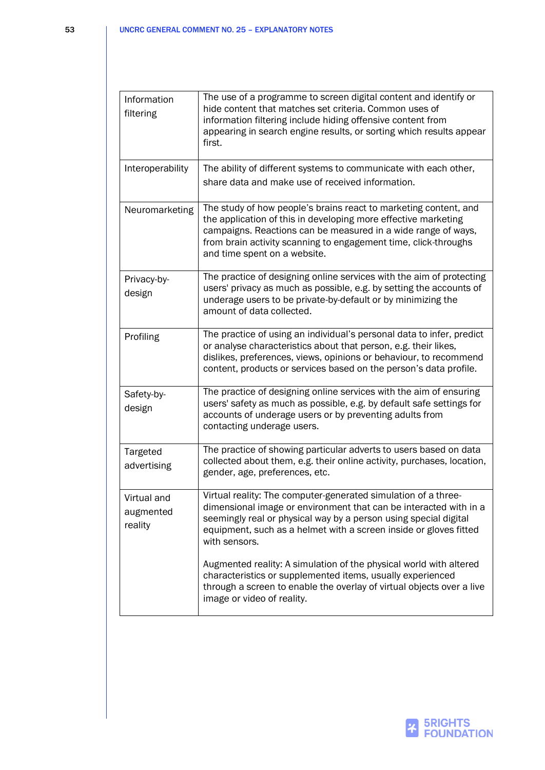| Information<br>filtering            | The use of a programme to screen digital content and identify or<br>hide content that matches set criteria. Common uses of<br>information filtering include hiding offensive content from<br>appearing in search engine results, or sorting which results appear<br>first.                             |
|-------------------------------------|--------------------------------------------------------------------------------------------------------------------------------------------------------------------------------------------------------------------------------------------------------------------------------------------------------|
| Interoperability                    | The ability of different systems to communicate with each other,<br>share data and make use of received information.                                                                                                                                                                                   |
| Neuromarketing                      | The study of how people's brains react to marketing content, and<br>the application of this in developing more effective marketing<br>campaigns. Reactions can be measured in a wide range of ways,<br>from brain activity scanning to engagement time, click-throughs<br>and time spent on a website. |
| Privacy-by-<br>design               | The practice of designing online services with the aim of protecting<br>users' privacy as much as possible, e.g. by setting the accounts of<br>underage users to be private-by-default or by minimizing the<br>amount of data collected.                                                               |
| Profiling                           | The practice of using an individual's personal data to infer, predict<br>or analyse characteristics about that person, e.g. their likes,<br>dislikes, preferences, views, opinions or behaviour, to recommend<br>content, products or services based on the person's data profile.                     |
| Safety-by-<br>design                | The practice of designing online services with the aim of ensuring<br>users' safety as much as possible, e.g. by default safe settings for<br>accounts of underage users or by preventing adults from<br>contacting underage users.                                                                    |
| Targeted<br>advertising             | The practice of showing particular adverts to users based on data<br>collected about them, e.g. their online activity, purchases, location,<br>gender, age, preferences, etc.                                                                                                                          |
| Virtual and<br>augmented<br>reality | Virtual reality: The computer-generated simulation of a three-<br>dimensional image or environment that can be interacted with in a<br>seemingly real or physical way by a person using special digital<br>equipment, such as a helmet with a screen inside or gloves fitted<br>with sensors.          |
|                                     | Augmented reality: A simulation of the physical world with altered<br>characteristics or supplemented items, usually experienced<br>through a screen to enable the overlay of virtual objects over a live<br>image or video of reality.                                                                |